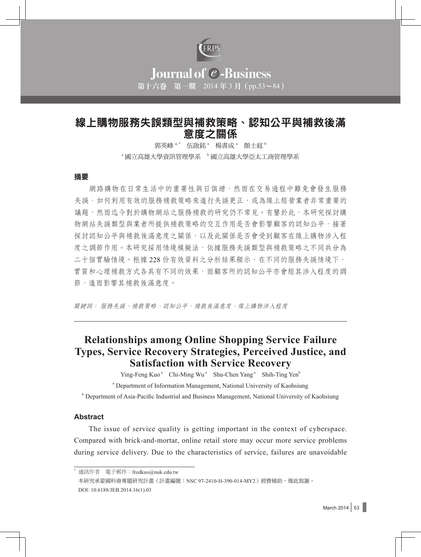

# **Journal of C-Business** 第十六卷 第一期 2014 年 3 月(pp.53~84)

# 線上購物服務失誤類型與補救策略、認知公平與補救後滿 意度之關係

郭英峰<sup>a,\*</sup> 伍啟銘<sup>a</sup> 楊書成<sup>a</sup> 顏士庭<sup>b</sup> <sup>。</sup>國立高雄大學資訊管理學系 b 國立高雄大學亞太工商管理學系

#### 摘要

網路購物在日常生活中的重要性與日俱增,然而在交易過程中難免會發生服務 失誤,如何利用有效的服務補救策略來進行失誤更正,成為線上經營業者非常重要的 議題,然而迄今對於購物網站之服務補救的研究仍不常見。有鑒於此,本研究探討購 物網站失誤類型與業者所提供補救策略的交互作用是否會影響顧客的認知公平,接著 探討認知公平與補救後滿意度之關係,以及此關係是否會受到顧客在線上購物涉入程 度之調節作用。本研究採用情境模擬法,依據服務失誤類型與補救策略之不同共分為 二十個實驗情境。根據 228 份有效資料之分析結果顯示,在不同的服務失誤情境下, 實質和心理補救方式各具有不同的效果,而顧客所的認知公平亦會經其涉入程度的調 節,進而影響其補救後滿意度。

關鍵詞: 服務失誤、補救策略、認知公平、補救後滿意度、線上購物涉入程度

# **Relationships among Online Shopping Service Failure Types, Service Recovery Strategies, Perceived Justice, and Satisfaction with Service Recovery**

Ying-Feng Kuo<sup>a</sup> Chi-Ming Wu<sup>a</sup> Shu-Chen Yang<sup>a</sup> Shih-Ting Yen<sup>b</sup>

<sup>a</sup> Department of Information Management, National University of Kaohsiung

**b** Department of Asia-Pacific Industrial and Business Management, National University of Kaohsiung

#### **Abstract**

The issue of service quality is getting important in the context of cyberspace. Compared with brick-and-mortar, online retail store may occur more service problems during service delivery. Due to the characteristics of service, failures are unavoidable

通訊作者 電子郵件: fredkuo@nuk.edu.tw

本研究承蒙國科會專題研究計書(計書編號:NSC 97-2410-H-390-014-MY2)經費補助,僅此致謝。 DOI: 10.6188/JEB.2014.16(1).03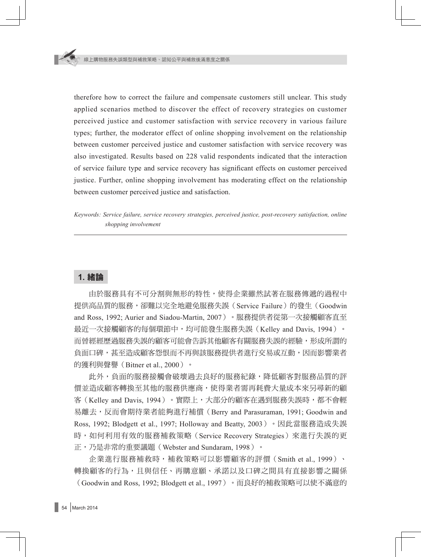therefore how to correct the failure and compensate customers still unclear. This study applied scenarios method to discover the effect of recovery strategies on customer perceived justice and customer satisfaction with service recovery in various failure types; further, the moderator effect of online shopping involvement on the relationship between customer perceived justice and customer satisfaction with service recovery was also investigated. Results based on 228 valid respondents indicated that the interaction of service failure type and service recovery has significant effects on customer perceived justice. Further, online shopping involvement has moderating effect on the relationship between customer perceived justice and satisfaction.

*Keywords: Service failure, service recovery strategies, perceived justice, post-recovery satisfaction, online shopping involvement*

# **1.** 緒論

由於服務具有不可分割與無形的特性,使得企業雖然試著在服務傳遞的過程中 提供高品質的服務,卻難以完全地避免服務失誤(Service Failure)的發生(Goodwin and Ross, 1992; Aurier and Siadou-Martin, 2007)。服務提供者從第一次接觸顧客直至 最近一次接觸顧客的每個環節中,均可能發生服務失誤(Kelley and Davis, 1994)。 而曾經經歷過服務失誤的顧客可能會告訴其他顧客有關服務失誤的經驗,形成所謂的 負面口碑,甚至造成顧客怨恨而不再與該服務提供者進行交易或互動,因而影響業者 的獲利與聲譽(Bitner et al., 2000)。

此外,負面的服務接觸會破壞過去良好的服務紀錄,降低顧客對服務品質的評 價並造成顧客轉換至其他的服務供應商,使得業者需再耗費大量成本來另尋新的顧 客(Kelley and Davis, 1994)。實際上,大部分的顧客在遇到服務失誤時,都不會輕 易離去,反而會期待業者能夠進行補償(Berry and Parasuraman, 1991; Goodwin and Ross, 1992; Blodgett et al., 1997; Holloway and Beatty, 2003)。因此當服務造成失誤 時,如何利用有效的服務補救策略 (Service Recovery Strategies) 來進行失誤的更 正,乃是非常的重要議題(Webster and Sundaram, 1998)。

企業進行服務補救時,補救策略可以影響顧客的評價(Smith et al., 1999)、 轉換顧客的行為,且與信任、再購意願、承諾以及口碑之間具有直接影響之關係 (Goodwin and Ross, 1992; Blodgett et al., 1997)。而良好的補救策略可以使不滿意的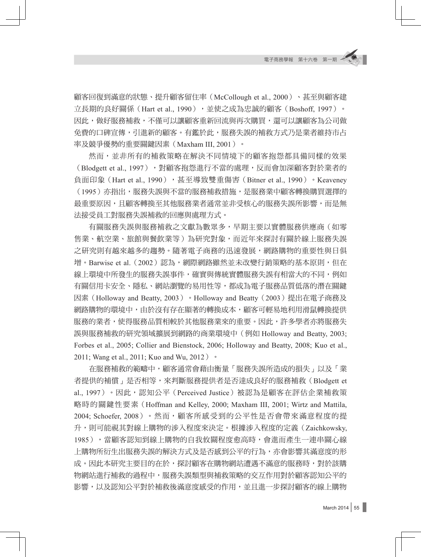顧客回復到滿意的狀態、提升顧客留住率(McCollough et al., 2000)、甚至與顧客建 立長期的良好關係 (Hart et al., 1990),這使之成為忠誠的顧客(Boshoff, 1997)。 因此,做好服務補救,不僅可以讓顧客重新回流與再次購買,還可以讓顧客為公司做 免費的口碑宣傳,引進新的顧客。有鑑於此,服務失誤的補救方式乃是業者維持市占 率及競爭優勢的重要關鍵因素(Maxham III, 2001)。

然而,並非所有的補救策略在解決不同情境下的顧客抱怨都具備同樣的效果 (Blodgett et al., 1997), 對顧客抱怨進行不當的處理,反而會加深顧客對於業者的 負面印象 (Hart et al., 1990), 甚至導致雙重傷害 (Bitner et al., 1990)。Keaveney (1995)亦指出,服務失誤與不當的服務補救措施,是服務業中顧客轉換購買選擇的 最重要原因,且顧客轉換至其他服務業者通常並非受核心的服務失誤所影響,而是無 法接受員工對服務失誤補救的回應與處理方式。

有關服務失誤與服務補救之文獻為數眾多,早期主要以實體服務供應商(如零 售業、航空業、旅館與餐飲業等)為研究對象,而近年來探討有關於線上服務失誤 之研究則有越來越多的趨勢。隨著電子商務的迅速發展,網路購物的重要性與日俱 增。Barwise et al. (2002)認為,網際網路雖然並未改變行銷策略的基本原則,但在 線上環境中所發生的服務失誤事件,確實與傳統實體服務失誤有相當大的不同,例如 有關信用卡安全、隱私、網站瀏覽的易用性等,都成為電子服務品質低落的潛在關鍵 因素(Holloway and Beatty, 2003)。Holloway and Beatty(2003)提出在電子商務及 網路購物的環境中,由於沒有存在顯著的轉換成本,顧客可輕易地利用滑鼠轉換提供 服務的業者,使得服務品質相較於其他服務業來的重要。因此,許多學者亦將服務失 誤與服務補救的研究領域擴展到網路的商業環境中(例如 Holloway and Beatty, 2003; Forbes et al., 2005; Collier and Bienstock, 2006; Holloway and Beatty, 2008; Kuo et al., 2011; Wang et al., 2011; Kuo and Wu, 2012)。

在服務補救的範疇中,顧客通常會藉由衡量「服務失誤所造成的損失」以及「業 者提供的補償」是否相等,來判斷服務提供者是否達成良好的服務補救(Blodgett et al., 1997)。因此,認知公平(Perceived Justice)被認為是顧客在評估企業補救策 略時的關鍵性要素(Hoffman and Kelley, 2000; Maxham III, 2001; Wirtz and Mattila, 2004; Schoefer, 2008)。然而, 顧客所感受到的公平性是否會帶來滿意程度的提 升,則可能視其對線上購物的涉入程度來決定。根據涉入程度的定義(Zaichkowsky, 1985),當顧客認知到線上購物的自我攸關程度愈高時,會進而產生一連串關心線 上購物所衍生出服務失誤的解決方式及是否感到公平的行為,亦會影響其滿意度的形 成。因此本研究主要目的在於,探討顧客在購物網站遭遇不滿意的服務時,對於該購 物網站進行補救的過程中,服務失誤類型與補救策略的交互作用對於顧客認知公平的 影響,以及認知公平對於補救後滿意度感受的作用,並且進一步探討顧客的線上購物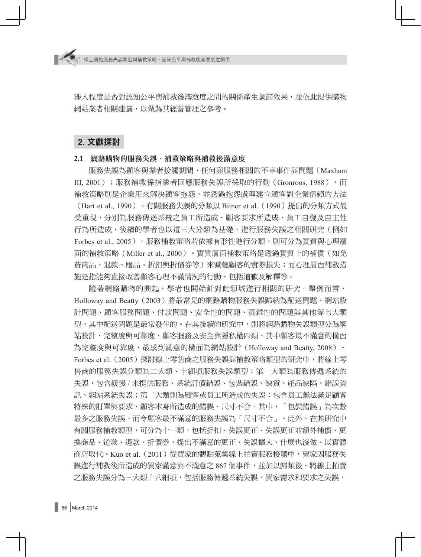涉入程度是否對認知公平與補救後滿意度之間的關係產生調節效果,並依此提供購物 網站業者相關建議,以做為其經營管理之參考。

# **2.** 文獻探討

#### **2.1** 網路購物的服務失誤、補救策略與補救後滿意度

服務失誤為顧客與業者接觸期間,任何與服務相關的不幸事件與問題(Maxham III, 2001);服務補救係指業者回應服務失誤所採取的行動(Gronroos, 1988),而 補救策略則是企業用來解決顧客抱怨,並透過抱怨處理建立顧客對企業信賴的方法 (Hart et al., 1990)。有關服務失誤的分類以 Bitner et al.(1990)提出的分類方式最 受重視,分別為服務傳送系統之員工所造成、顧客要求所造成、員工自發及自主性 行為所造成,後續的學者也以這三大分類為基礎,進行服務失誤之相關研究(例如 Forbes et al., 2005)。服務補救策略若依據有形性進行分類,則可分為實質與心理層 面的補救策略(Miller et al., 2000)。實質層面補救策略是透過實質上的補償(如免 費商品、退款、贈品、折扣與折價券等)來減輕顧客的實際損失;而心理層面補救措 施是指能夠直接改善顧客心理不滿情況的行動,包括道歉及解釋等。

隨著網路購物的興起,學者也開始針對此領域進行相關的研究。舉例而言, Holloway and Beatty(2003)將最常見的網路購物服務失誤歸納為配送問題、網站設 計問題、顧客服務問題、付款問題、安全性的問題、混雜性的問題與其他等七大類 型,其中配送問題是最常發生的。在其後續的研究中,則將網路購物失誤類型分為網 站設計、完整度與可靠度、顧客服務及安全與隱私權四類,其中顧客最不滿意的構面 為完整度與可靠度,最感到滿意的構面為網站設計(Holloway and Beatty, 2008)。 Forbes et al.(2005)探討線上零售商之服務失誤與補救策略類型的研究中,將線上零 售商的服務失誤分類為二大類、十細項服務失誤類型:第一大類為服務傳遞系統的 失誤,包含緩慢 / 未提供服務、系統訂價錯誤、包裝錯誤、缺貨、產品缺陷、錯誤資 訊、網站系統失誤;第二大類則為顧客或員工所浩成的失誤:包含員工無法滿足顧客 特殊的訂單與要求、顧客本身所造成的錯誤、尺寸不合。其中,「包裝錯誤」為次數 最多之服務失誤,而令顧客最不滿意的服務失誤為「尺寸不合」。此外,在其研究中 有關服務補救類型,可分為十一類,包括折扣、失誤更正、失誤更正並額外補償、更 換商品、道歉、退款、折價券、提出不滿意的更正、失誤擴大、什麼也沒做、以實體 商店取代。Kuo et al. (2011)從買家的觀點蒐集線上拍賣服務接觸中,賣家因服務失 誤淮行補救後所浩成的買家滿意與不滿意之 867 個事件,並加以歸類後,將線上拍賣 之服務失誤分為三大類十八細項,包括服務傳遞系統失誤、買家需求和要求之失誤、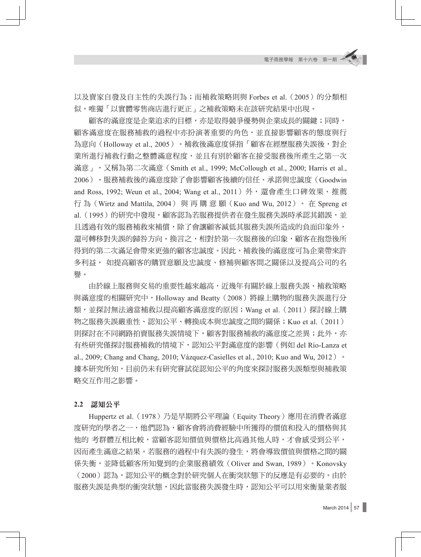以及賣家自發及自主性的失誤行為;而補救策略則與 Forbes et al. (2005)的分類相 似,唯獨「以實體零售商店進行更正」之補救策略未在該研究結果中出現。

顧客的滿意度是企業追求的目標,亦是取得競爭優勢與企業成長的關鍵;同時, 顧客滿意度在服務補救的過程中亦扮演著重要的角色,並直接影響顧客的態度與行 為意向(Holloway et al., 2005)。補救後滿意度係指「顧客在經歷服務失誤後,對企 業所進行補救行動之整體滿意程度,並且有別於顧客在接受服務後所產生之第一次 滿意」,又稱為第二次滿意(Smith et al., 1999; McCollough et al., 2000; Harris et al., 2006)。服務補救後的滿意度除了會影響顧客後續的信任、承諾與忠誠度(Goodwin and Ross, 1992; Weun et al., 2004; Wang et al., 2011) 外,還會產生口碑效果、推薦 行 為(Wirtz and Mattila, 2004) 與 再 購 意 願(Kuo and Wu, 2012)。 在 Spreng et al. ( 1995 ) 的研究中發現,顧客認為若服務提供者在發生服務失誤時承認其錯誤,並 且透過有效的服務補救來補償,除了會讓顧客減低其服務失誤所造成的負面印象外, 還可轉移對失誤的歸咎方向。換言之,相對於第一次服務後的印象,顧客在抱怨後所 得到的第二次滿足會帶來更強的顧客忠誠度。因此,補救後的滿意度可為企業帶來許 多利益,如提高顧客的購買意願及忠誠度、修補與顧客間之關係以及提高公司的名 譽。

由於線上服務與交易的重要性越來越高,近幾年有關於線上服務失誤、補救策略 與滿意度的相關研究中,Holloway and Beatty(2008)將線上購物的服務失誤進行分 類,並探討無法適當補救以提高顧客滿意度的原因;Wang et al.(2011)探討線上購 物之服務失誤嚴重性、認知公平、轉換成本與忠誠度之間的關係;Kuo et al.(2011) 則探討在不同網路拍賣服務失誤情境下,顧客對服務補救的滿意度之差異;此外,亦 有些研究僅探討服務補救的情境下,認知公平對滿意度的影響(例如 del Río-Lanza et al., 2009; Chang and Chang, 2010; Vázquez-Casielles et al., 2010; Kuo and Wu, 2012)  $\cdot$ 據本研究所知,目前仍未有研究嘗試從認知公平的角度來探討服務失誤類型與補救策 略交互作用之影響。

#### **2.2** 認知公平

Huppertz et al. (1978)乃是早期將公平理論 (Equity Theory)應用在消費者滿意 度研究的學者之一,他們認為,顧客會將消費經驗中所獲得的價值和投入的價格與其 他的 考群體互相比較,當顧客認知價值與價格比高過其他人時,才會感受到公平, 因而產生滿意之結果。若服務的過程中有失誤的發生,將會導致價值與價格之間的關 係失衡,並降低顧客所知覺到的企業服務績效(Oliver and Swan, 1989)。Konovsky (2000)認為,認知公平的概念對於研究個人在衝突狀態下的反應是有必要的。由於 服務失誤是典型的衝突狀態,因此當服務失誤發生時,認知公平可以用來衡量業者服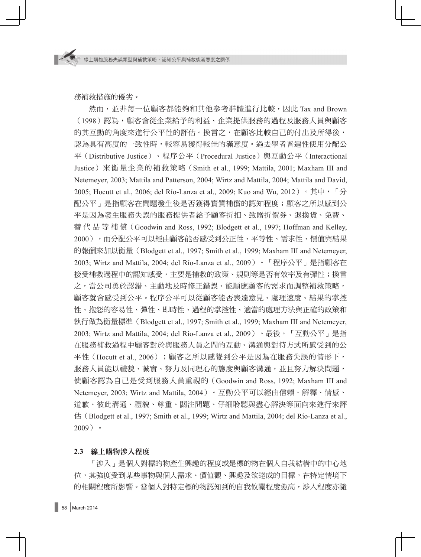務補救措施的優劣。

然而,並非每一位顧客都能夠和其他參考群體進行比較,因此 Tax and Brown (1998)認為,顧客會從企業給予的利益、企業提供服務的過程及服務人員與顧客 的其互動的角度來進行公平性的評估。換言之,在顧客比較自己的付出及所得後, 認為具有高度的一致性時,較容易獲得較佳的滿意度。過去學者普遍性使用分配公 平(Distributive Justice)、程序公平(Procedural Justice)與互動公平(Interactional Justice)來衡量企業的補救策略(Smith et al., 1999; Mattila, 2001; Maxham III and Netemeyer, 2003; Mattila and Patterson, 2004; Wirtz and Mattila, 2004; Mattila and David, 2005; Hocutt et al., 2006; del Río-Lanza et al., 2009; Kuo and Wu, 2012) 。其中, 「分 配公平﹔是指顧客在問題發生後是否獲得實質補償的認知程度;顧客之所以感到公 平是因為發生服務失誤的服務提供者給予顧客折扣、致贈折價券、退換貨、免費、 替 代 品 等 補 償(Goodwin and Ross, 1992; Blodgett et al., 1997; Hoffman and Kelley, 2000),而分配公平可以經由顧客能否感受到公正性、平等性、需求性、價值與結果 的報酬來加以衡量(Blodgett et al., 1997; Smith et al., 1999; Maxham III and Netemeyer, 2003; Wirtz and Mattila, 2004; del Río-Lanza et al., 2009)。「程序公平」是指顧客在 接受補救過程中的認知感受,主要是補救的政策、規則等是否有效率及有彈性;換言 之,當公司勇於認錯、主動地及時修正錯誤、能順應顧客的需求而調整補救策略, 顧客就會感受到公平。程序公平可以從顧客能否表達意見、處理速度、結果的掌控 性、抱怨的容易性、彈性、即時性、過程的掌控性、適當的處理方法與正確的政策和 執行做為衡量標準(Blodgett et al., 1997; Smith et al., 1999; Maxham III and Netemeyer, 2003; Wirtz and Mattila, 2004; del Río-Lanza et al., 2009)。最後,「互動公平」是指 在服務補救過程中顧客對於與服務人員之間的互動、溝通與對待方式所感受到的公 平性(Hocutt et al., 2006);顧客之所以感覺到公平是因為在服務失誤的情形下, 服務人員能以禮貌、誠實、努力及同理心的態度與顧客溝通,並且努力解決問題, 使顧客認為自己是受到服務人員重視的(Goodwin and Ross, 1992; Maxham III and Netemeyer, 2003; Wirtz and Mattila, 2004)。互動公平可以經由信賴、解釋、情感、 道歉、彼此溝通、禮貌、尊重、關注問題、仔細聆聽與盡心解決等面向來進行來評 估(Blodgett et al., 1997; Smith et al., 1999; Wirtz and Mattila, 2004; del Río-Lanza et al., 2009)。

#### **2.3** 線上購物涉入程度

「涉入」是個人對標的物產生興趣的程度或是標的物在個人自我結構中的中心地 位,其強度受到某些事物與個人需求、價值觀、興趣及欲達成的目標,在特定情境下 的相關程度所影響。當個人對特定標的物認知到的自我攸關程度愈高,涉入程度亦隨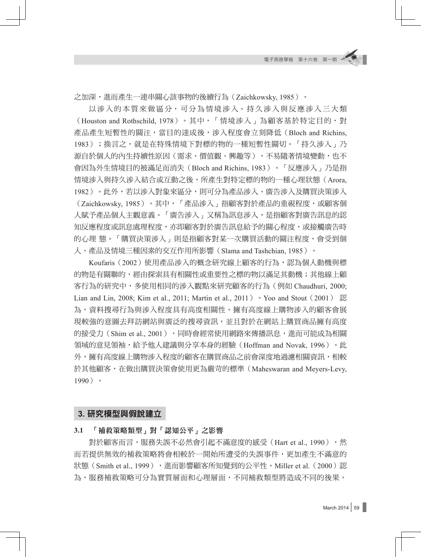之加深,進而產生一連串關心該事物的後續行為(Zaichkowsky, 1985)。

以涉入的本質來做區分,可分為情境涉入、持久涉入與反應涉入三大類 (Houston and Rothschild, 1978)。其中,「情境涉入」為顧客基於特定目的,對 產品產生短暫性的關注,當目的達成後,涉入程度會立刻降低(Bloch and Richins, 1983);換言之,就是在特殊情境下對標的物的一種短暫性關切。「持久涉入」乃 源自於個人的內生持續性原因(需求、價值觀、興趣等),不易隨著情境變動,也不 會因為外生情境目的被滿足而消失(Bloch and Richins, 1983)。「反應涉入」乃是指 情境涉入與持久涉入結合或互動之後,所產生對特定標的物的一種心理狀態(Arora, 1982)。此外,若以涉入對象來區分,則可分為產品涉入、廣告涉入及購買決策涉入 (Zaichkowsky, 1985)。其中,「產品涉入」指顧客對於產品的重視程度,或顧客個 人賦予產品個人主觀意義。「廣告涉入」又稱為訊息涉入,是指顧客對廣告訊息的認 知反應程度或訊息處理程度,亦即顧客對於廣告訊息給予的關心程度,或接觸廣告時 的心理 熊。「購買決策涉入」則是指顧客對某一次購買活動的關注程度,會受到個 人、產品及情境三種因素的交互作用所影響(Slama and Tashchian, 1985)。

Koufaris(2002)使用產品涉入的概念研究線上顧客的行為,認為個人動機與標 的物是有關聯的,經由探索具有相關性或重要性之標的物以滿足其動機;其他線上顧 客行為的研究中,多使用相同的涉入觀點來研究顧客的行為(例如 Chaudhuri, 2000; Lian and Lin, 2008; Kim et al., 2011; Martin et al., 2011) • Yoo and Stout (2001) 認 為,資料搜尋行為與涉入程度具有高度相關性。擁有高度線上購物涉入的顧客會展 現較強的意圖去拜訪網站與廣泛的搜尋資訊,並且對於在網站上購買商品擁有高度 的接受力 (Shim et al., 2001), 同時會經常使用網路來傳播訊息,進而可能成為相關 領域的意見領袖,給予他人建議與分享本身的經驗(Hoffman and Novak, 1996)。此 外,擁有高度線上購物涉入程度的顧客在購買商品之前會深度地過濾相關資訊,相較 於其他顧客,在做出購買決策會使用更為嚴苛的標準(Maheswaran and Meyers-Levy, 1990)。

# **3.** 研究模型與假說建立

#### **3.1** 「補救策略類型」對「認知公平」之影響

對於顧客而言,服務失誤不必然會引起不滿意度的感受(Hart et al., 1990),然 而若提供無效的補救策略將會相較於一開始所遭受的失誤事件,更加產生不滿意的 狀態 (Smith et al., 1999), 進而影響顧客所知覺到的公平性。Miller et al. (2000)認 為,服務補救策略可分為實質層面和心理層面,不同補救類型將造成不同的後果。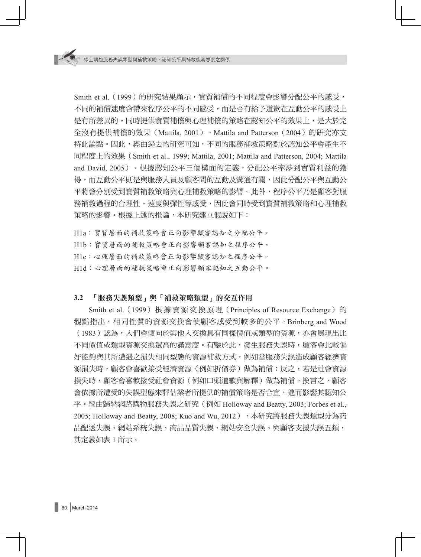Smith et al. (1999) 的研究結果顯示,實質補償的不同程度會影響分配公平的感受, 不同的補償速度會帶來程序公平的不同感受,而是否有給予道歉在互動公平的感受上 是有所差異的。同時提供實質補償與心理補償的策略在認知公平的效果上,是大於完 全沒有提供補償的效果 (Mattila, 2001), Mattila and Patterson (2004)的研究亦支 持此論點。因此,經由過去的研究可知,不同的服務補救策略對於認知公平會產生不 同程度上的效果(Smith et al., 1999; Mattila, 2001; Mattila and Patterson, 2004; Mattila and David, 2005)。根據認知公平三個構面的定義,分配公平牽涉到實質利益的獲 得,而互動公平則是與服務人員及顧客間的互動及溝涌有關,因此分配公平與互動公 平將會分別受到實質補救策略與心理補救策略的影響。此外,程序公平乃是顧客對服 務補救過程的合理性、速度與彈性等感受,因此會同時受到實質補救策略和心理補救 策略的影響。根據上述的推論,本研究建立假說如下:

H1a:實質層面的補救策略會正向影響顧客認知之分配公平。 H1b:實質層面的補救策略會正向影響顧客認知之程序公平。 H1c:心理層面的補救策略會正向影響顧客認知之程序公平。 H1d:心理層面的補救策略會正向影響顧客認知之互動公平。

#### **3.2** 「服務失誤類型」與「補救策略類型」的交互作用

Smith et al. (1999) 根據資源交換原理 (Principles of Resource Exchange) 的 觀點指出,相同性質的資源交換會使顧客感受到較多的公平。Brinberg and Wood (1983)認為,人們會傾向於與他人交換具有同樣價值或類型的資源,亦會展現出比 不同價值或類型資源交換還高的滿意度。有鑒於此,發生服務失誤時,顧客會比較偏 好能夠與其所遭遇之損失相同型態的資源補救方式,例如當服務失誤造成顧客經濟資 源損失時,顧客會喜歡接受經濟資源(例如折價券)做為補償;反之,若是社會資源 損失時,顧客會喜歡接受社會資源(例如口頭道歉與解釋)做為補償。換言之,顧客 會依據所遭受的失誤型態來評估業者所提供的補償策略是否合宜,進而影響其認知公 平。經由歸納網路購物服務失誤之研究(例如 Holloway and Beatty, 2003; Forbes et al., 2005; Holloway and Beatty, 2008; Kuo and Wu, 2012), 本研究將服務失誤類型分為商 品配送失誤、網站系統失誤、商品品質失誤、網站安全失誤、與顧客支援失誤五類, 其定義如表 1 所示。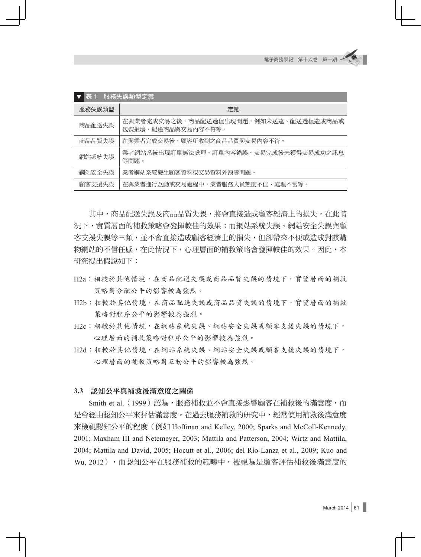| 表 1<br>服務失誤類型定義 |                                                             |  |  |  |  |  |  |  |
|-----------------|-------------------------------------------------------------|--|--|--|--|--|--|--|
| 服務失誤類型          | 定義                                                          |  |  |  |  |  |  |  |
| 商品配送失誤          | 在與業者完成交易之後,商品配送過程出現問題,例如未送達、配送過程造成商品或<br>句裝捐壞、配送商品與交易內容不符等。 |  |  |  |  |  |  |  |
| 商品品質失誤          | 在與業者完成交易後,顧客所收到之商品品質與交易內容不符。                                |  |  |  |  |  |  |  |
| 網站系統失誤          | 業者網站系統出現訂單無法處理、訂單內容錯誤、交易宗成後未獲得交易成功之訊息<br>等問題。               |  |  |  |  |  |  |  |
| 網站安全失誤          | 業者網站系統發生顧客資料或交易資料外洩等問題。                                     |  |  |  |  |  |  |  |
| 顧客支援失誤          | 在與業者進行互動或交易過程中,業者服務人員熊度不佳、處理不當等。                            |  |  |  |  |  |  |  |

其中,商品配送失誤及商品品質失誤,將會直接造成顧客經濟上的損失,在此情 況下,實質層面的補救策略會發揮較佳的效果;而網站系統失誤、網站安全失誤與顧 客支援失誤等三類,並不會直接造成顧客經濟上的損失,但卻帶來不便或造成對該購 物網站的不信任感,在此情況下,心理層面的補救策略會發揮較佳的效果。因此,本 研究提出假說如下:

- H2a:相較於其他情境,在商品配送失誤或商品品質失誤的情境下,實質層面的補救 策略對分配公平的影響較為強烈。
- H2b:相較於其他情境,在商品配送失誤或商品品質失誤的情境下,實質層面的補救 策略對程序公平的影響較為強烈。
- H2c:相較於其他情境,在網站系統失誤、網站安全失誤或顧客支援失誤的情境下, 心理層面的補救策略對程序公平的影響較為強烈。
- H2d:相較於其他情境,在網站系統失誤、網站安全失誤或顧客支援失誤的情境下, 心理層面的補救策略對互動公平的影響較為強烈。

#### **3.3** 認知公平與補救後滿意度之關係

Smith et al. (1999)認為,服務補救並不會直接影響顧客在補救後的滿意度,而 是會經由認知公平來評估滿意度。在過去服務補救的研究中,經常使用補救後滿意度 來檢視認知公平的程度(例如 Hoffman and Kelley, 2000; Sparks and McColl-Kennedy, 2001; Maxham III and Netemeyer, 2003; Mattila and Patterson, 2004; Wirtz and Mattila, 2004; Mattila and David, 2005; Hocutt et al., 2006; del Río-Lanza et al., 2009; Kuo and Wu, 2012),而認知公平在服務補救的範疇中,被視為是顧客評估補救後滿意度的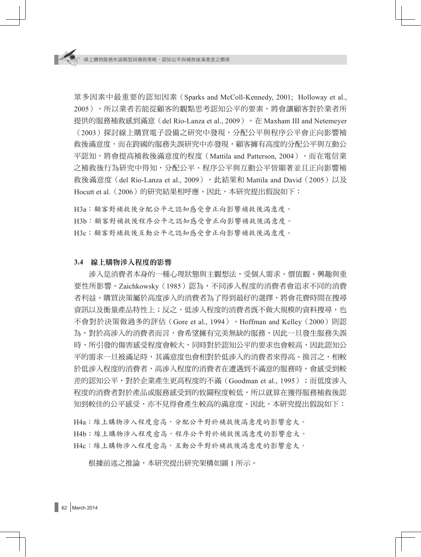眾多因素中最重要的認知因素(Sparks and McColl-Kennedy, 2001; Holloway et al., 2005),所以業者若能從顧客的觀點思考認知公平的要素,將會讓顧客對於業者所 提供的服務補救感到滿意(del Río-Lanza et al., 2009)。在 Maxham III and Netemeyer (2003)探討線上購買電子設備之研究中發現,分配公平與程序公平會正向影響補 救後滿意度,而在跨國的服務失誤研究中亦發現,顧客擁有高度的分配公平與互動公 平認知,將會提高補救後滿意度的程度(Mattila and Patterson, 2004)。而在電信業 之補救後行為研究中得知,分配公平、程序公平與互動公平皆顯著並且正向影響補 救後滿意度 (del Río-Lanza et al., 2009), 此結果和 Mattila and David (2005)以及 Hocutt et al. (2006)的研究結果相呼應。因此,本研究提出假說如下:

H3a:顧客對補救後分配公平之認知感受會正向影響補救後滿意度。 H3b:顧客對補救後程序公平之認知感受會正向影響補救後滿意度。

# H3c:顧客對補救後互動公平之認知感受會正向影響補救後滿意度。

#### **3.4** 線上購物涉入程度的影響

涉入是消費者本身的一種心理狀態與主觀想法,受個人需求、價值觀、興趣與重 要性所影響。Zaichkowsky(1985)認為,不同涉入程度的消費者會追求不同的消費 者利益。購買決策屬於高度涉入的消費者為了得到最好的選擇,將會花費時間在搜尋 資訊以及衡量產品特性上;反之,低涉入程度的消費者既不做大規模的資料搜尋,也 不會對於決策做過多的評估(Gore et al., 1994)。Hoffman and Kelley(2000)則認 為,對於高涉入的消費者而言,會希望擁有完美無缺的服務,因此一旦發生服務失誤 時,所引發的傷害感受程度會較大,同時對於認知公平的要求也會較高,因此認知公 平的需求一旦被滿足時,其滿意度也會相對於低涉入的消費者來得高。換言之,相較 於低涉入程度的消費者,高涉入程度的消費者在遭遇到不滿意的服務時,會感受到較 差的認知公平,對於企業產生更高程度的不滿(Goodman et al., 1995);而低度涉入 程度的消費者對於產品或服務感受到的攸關程度較低,所以就算在獲得服務補救後認 知到較佳的公平感受,亦不見得會產生較高的滿意度。因此,本研究提出假說如下:

H4a:線上購物涉入程度愈高,分配公平對於補救後滿意度的影響愈大。 H4b:線上購物涉入程度愈高,程序公平對於補救後滿意度的影響愈大。 H4c:線上購物涉入程度愈高,互動公平對於補救後滿意度的影響愈大。

根據前述之推論,本研究提出研究架構如圖 1 所示。

62 March 2014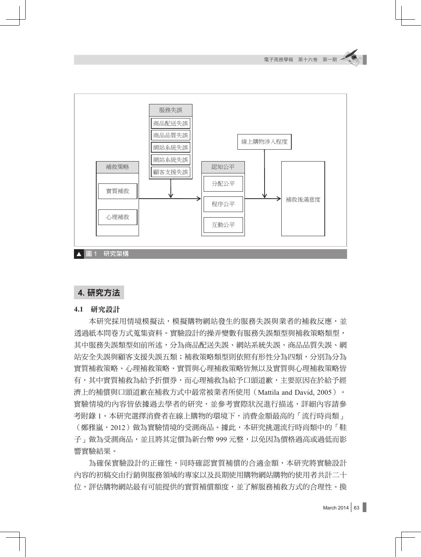

# **4.** 研究方法

**4.1** 研究設計

本研究採用情境模擬法,模擬購物網站發生的服務失誤與業者的補救反應,並 透過紙本問卷方式蒐集資料。實驗設計的操弄變數有服務失誤類型與補救策略類型, 其中服務失誤類型如前所述,分為商品配送失誤、網站系統失誤、商品品質失誤、網 站安全失誤與顧客支援失誤五類;補救策略類型則依照有形性分為四類,分別為分為 實質補救策略、心理補救策略、實質與心理補救策略皆無以及實質與心理補救策略皆 有,其中實質補救為給予折價券,而心理補救為給予口頭道歉,主要原因在於給予經 濟上的補償與口頭道歉在補救方式中最常被業者所使用(Mattila and David, 2005)。 實驗情境的內容皆依據過去學者的研究,並參考實際狀況進行描述,詳細內容請參 考附錄 1。本研究選擇消費者在線上購物的環境下,消費金額最高的「流行時尚類」 (鄭雅嵐,2012)做為實驗情境的受測商品。據此,本研究挑選流行時尚類中的「鞋 子」做為受測商品,並且將其定價為新台幣 999 元整,以免因為價格過高或過低而影 響實驗結果。

為確保實驗設計的正確性,同時確認實質補償的合適金額,本研究將實驗設計 內容的初稿交由行銷與服務領域的專家以及長期使用購物網站購物的使用者共計二十 位,評估購物網站最有可能提供的實質補償額度,並了解服務補救方式的合理性。換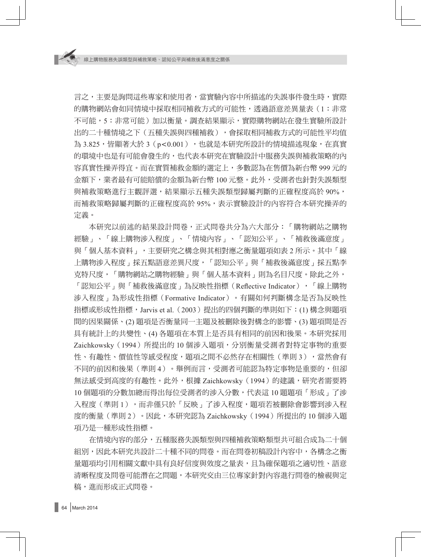言之,主要是詢問這些專家和使用者,當實驗內容中所描述的失誤事件發生時,實際 的購物網站會如同情境中採取相同補救方式的可能性,透過語意差異量表(1:非常 不可能,5:非常可能)加以衡量。調杳結果顯示,實際購物網站在發生實驗所設計 出的二十種情境之下(五種失誤與四種補救),會採取相同補救方式的可能性平均值 為 3.825,皆顯著大於 3 (p<0.001),也就是本研究所設計的情境描述現象, 在真實 的環境中也是有可能會發生的,也代表本研究在實驗設計中服務失誤與補救策略的內 容真實性操弄得宜。而在實質補救金額的選定上,多數認為在售價為新台幣 999 元的 金額下,業者最有可能賠償的金額為新台幣 100 元整。此外,受測者也針對失誤類型 與補救策略進行主觀評選,結果顯示五種失誤類型歸屬判斷的正確程度高於 90%, 而補救策略歸屬判斷的正確程度高於 95%,表示實驗設計的內容符合本研究操弄的 定義。

本研究以前述的結果設計問卷,正式問卷共分為六大部分:「購物網站之購物 經驗」、「線上購物涉入程度」、「情境內容」、「認知公平」、「補救後滿意度」 與「個人基本資料」,主要研究之構念與其相對應之衡量題項如表 2 所示。其中「線 上購物涉入程度」採五點語意差異尺度,「認知公平」與「補救後滿意度」採五點李 克特尺度,「購物網站之購物經驗」與「個人基本資料」則為名目尺度。除此之外, 「認知公平」與「補救後滿意度」為反映性指標(Reflective Indicator),「線上購物 涉入程度」為形成性指標(Formative Indicator)。有關如何判斷構念是否為反映性 指標或形成性指標,Jarvis et al.(2003)提出的四個判斷的準則如下:(1) 構念與題項 間的因果關係、(2) 題項是否衡量同一主題及被刪除後對構念的影響、(3) 題項間是否 具有統計上的共變性、(4) 各題項在本質上是否具有相同的前因和後果。本研究採用 Zaichkowsky (1994) 所提出的 10 個涉入題項,分別衡量受測者對特定事物的重要 性、有趣性、價值性等感受程度,題項之間不必然存在相關性(準則 3),當然會有 不同的前因和後果(準則 4)。舉例而言,受測者可能認為特定事物是重要的,但卻 無法感受到高度的有趣性。此外,根據 Zaichkowsky(1994)的建議,研究者需要將 10 個題項的分數加總而得出每位受測者的涉入分數,代表這 10 題題項「形成」了涉 入程度(準則 1),而非僅只於「反映」了涉入程度,題項若被刪除會影響到涉入程 度的衡量(準則 2)。因此,本研究認為 Zaichkowsky (1994)所提出的 10 個涉入題 項乃是一種形成性指標。

在情境內容的部分,五種服務失誤類型與四種補救策略類型共可組合成為二十個 組別,因此本研究共設計二十種不同的問卷。而在問卷初稿設計內容中,各構念之衡 量題項均引用相關文獻中具有良好信度與效度之量表,且為確保題項之適切性、語意 清晰程度及問卷可能潛在之問題,本研究交由三位專家針對內容進行問卷的檢視與定 稿,進而形成正式問卷。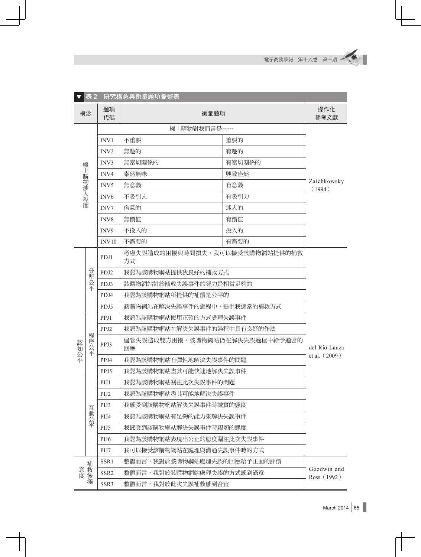|          | 表 2      |                  | 研究構念與衡量題項彙整表                         |               |                            |  |  |  |  |
|----------|----------|------------------|--------------------------------------|---------------|----------------------------|--|--|--|--|
| 構念       |          | 題項<br>代碼         | 操作化<br>參考文獻                          |               |                            |  |  |  |  |
|          |          |                  |                                      |               |                            |  |  |  |  |
|          |          | INV1             | 不重要                                  |               |                            |  |  |  |  |
|          |          | INV <sub>2</sub> | 無趣的                                  | 有趣的           |                            |  |  |  |  |
|          |          | INV3             | 無密切關係的                               | 有密切關係的        |                            |  |  |  |  |
| 線上購物涉入程度 |          | INV4             | 索然無味                                 | 興致盎然          | Zaichkowsky                |  |  |  |  |
|          |          | INV5             | 無意義<br>有意義                           |               |                            |  |  |  |  |
|          |          | INV <sub>6</sub> | 不吸引人                                 | 有吸引力          |                            |  |  |  |  |
|          |          | INV7             | 俗氣的                                  | 迷人的           |                            |  |  |  |  |
|          |          | INV8             | 無價值                                  | 有價值           |                            |  |  |  |  |
|          |          | INV9             | 不投入的                                 | 投入的           |                            |  |  |  |  |
|          |          | INV10            | 不需要的                                 | 有需要的          |                            |  |  |  |  |
|          | 分配<br>公平 | PDJ1             | 考慮失誤造成的困擾與時間損失,我可以接受該購物網站提供的補救<br>方式 |               |                            |  |  |  |  |
|          |          | PDJ2             | 我認為該購物網站提供我良好的補救方式                   |               |                            |  |  |  |  |
|          |          | PDJ3             | 該購物網站對於補救失誤事件的努力是相當足夠的               |               |                            |  |  |  |  |
|          |          | PDJ4             | 我認為該購物網站所提供的補償是公平的                   |               |                            |  |  |  |  |
|          |          | PDJ5             | 該購物網站在解決失誤事件的過程中,提供我適當的補救方式          | del Río-Lanza |                            |  |  |  |  |
|          |          | PPJ1             | 我認為該購物網站使用正確的方式處理失誤事件                |               |                            |  |  |  |  |
|          |          | PPJ2             | 我認為該購物網站在解決失誤事件的過程中具有良好的作法           |               |                            |  |  |  |  |
| 認知公平     | 程序公平     | PPJ3             | 儘管失誤造成雙方困擾,該購物網站仍在解決失誤過程中給予適當的<br>回應 |               |                            |  |  |  |  |
|          |          | PPJ4             | 我認為該購物網站有彈性地解決失誤事件的問題                | et al. (2009) |                            |  |  |  |  |
|          |          | PPJ5             | 我認為該購物網站盡其可能快速地解決失誤事件                |               |                            |  |  |  |  |
|          |          | PIJ1             | 我認為該購物網站關注此次失誤事件的問題                  |               |                            |  |  |  |  |
|          |          | PIJ <sub>2</sub> | 我認為該購物網站盡其可能地解決失誤事件                  |               |                            |  |  |  |  |
|          |          | PIJ3             | 我感受到該購物網站解決失誤事件時誠實的態度                |               |                            |  |  |  |  |
|          | 互動公平     | PIJ4             | 我認為該購物網站有足夠的能力來解決失誤事件                |               |                            |  |  |  |  |
|          |          | PIJ5             | 我感受到該購物網站解決失誤事件時親切的態度                |               |                            |  |  |  |  |
|          |          | PIJ <sub>6</sub> | 我認為該購物網站表現出公正的態度關注此次失誤事件             |               |                            |  |  |  |  |
|          |          | PIJ7             | 我可以接受該購物網站在處理與溝通失誤事件時的方式             |               |                            |  |  |  |  |
|          |          | SSR1             | 整體而言,我對於該購物網站處理失誤的回應給予正面的評價          |               |                            |  |  |  |  |
|          |          | SSR <sub>2</sub> | 整體而言,我對於該購物網站處理失誤的方式感到滿意             |               | Goodwin and<br>Ross (1992) |  |  |  |  |
| 意度補救後滿   |          | SSR3             | 整體而言,我對於此次失誤補救感到合宜                   |               |                            |  |  |  |  |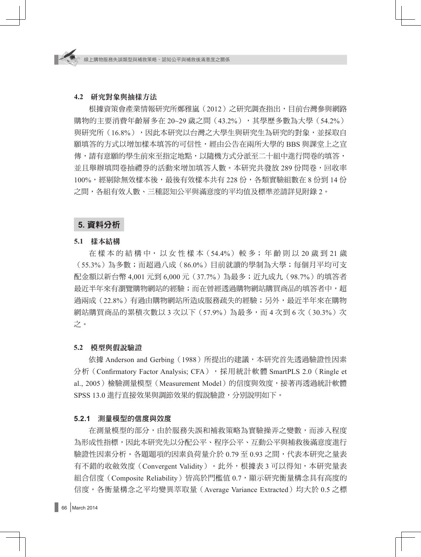#### **4.2** 研究對象與抽樣方法

根據資策會產業情報研究所鄭雅嵐(2012)之研究調查指出,目前台灣參與網路 購物的主要消費年齡層多在 20~29 歳之間 (43.2%),其學歷多數為大學 (54.2%) 與研究所(16.8%),因此本研究以台灣之大學生與研究生為研究的對象,並採取自 願填答的方式以增加樣本填答的可信性,經由公告在兩所大學的 BBS 與課堂上之宣 傳,請有意願的學生前來至指定地點,以隨機方式分派至二十組中進行問卷的填答, 並且舉辦填問卷抽禮券的活動來增加填答人數。本研究共發放 289 份問卷,回收率 100%,經剔除無效樣本後,最後有效樣本共有 228 份,各類實驗組數在 8 份到 14 份 之間,各組有效人數、三種認知公平與滿意度的平均值及標準差請詳見附錄 2。

## **5.** 資料分析

#### **5.1** 樣本結構

在 樣 本 的 結 構 中, 以 女 性 樣 本(54.4%) 較 多; 年 齡 則 以 20 歲 到 21 歲 (55.3%)為多數;而超過八成(86.0%)目前就讀的學制為大學;每個月平均可支 配金額以新台幣 4,001 元到 6,000 元(37.7%)為最多;近九成九(98.7%)的填答者 最沂半年來有瀏覽購物網站的經驗;而在曾經透過購物網站購買商品的填答者中,超 過兩成(22.8%)有過由購物網站所造成服務疏失的經驗;另外,最近半年來在購物 網站購買商品的累積次數以 3 次以下 (57.9%)為最多,而 4 次到 6 次 (30.3%) 次 之。

#### **5.2** 模型與假說驗證

依據 Anderson and Gerbing(1988)所提出的建議,本研究首先透過驗證性因素 分析 (Confirmatory Factor Analysis; CFA), 採用統計軟體 SmartPLS 2.0 (Ringle et al., 2005)檢驗測量模型 (Measurement Model) 的信度與效度,接著再透過統計軟體 SPSS 13.0 進行直接效果與調節效果的假說驗證,分別說明如下。

## **5.2.1** 測量模型的信度與效度

在測量模型的部分,由於服務失誤和補救策略為實驗操弄之變數,而涉入程度 為形成性指標,因此本研究先以分配公平、程序公平、互動公平與補救後滿意度進行 驗證性因素分析。各題題項的因素負荷量介於 0.79 至 0.93 之間,代表本研究之量表 有不錯的收斂效度(Convergent Validity)。此外,根據表 3 可以得知,本研究量表 組合信度 (Composite Reliability) 皆高於門檻值 0.7,顯示研究衡量構念具有高度的 信度。各衡量構念之平均變異萃取量(Average Variance Extracted)均大於 0.5 之標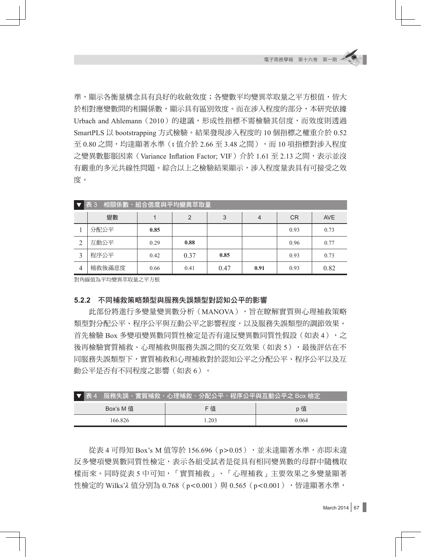準,顯示各衡量構念具有良好的收斂效度;各變數平均變異萃取量之平方根值,皆大 於相對應變數間的相關係數,顯示具有區別效度。而在涉入程度的部分,本研究依據 Urbach and Ahlemann (2010)的建議,形成性指標不需檢驗其信度,而效度則透過 SmartPLS 以 bootstrapping 方式檢驗。結果發現涉入程度的 10 個指標之權重介於 0.52 至  $0.80$  之間,均達顯著水準  $(t$  值介於  $2.66$  至  $3.48$  之間),而 10 項指標對涉入程度  $\overrightarrow{z}$ 變異數膨脹因素 (Variance Inflation Factor: VIF) 介於 1.61 至 2.13 之間,表示並沒 有嚴重的多元共線性問題。綜合以上之檢驗結果顯示,涉入程度量表具有可接受之效 度。

|                | 表 3<br>相關係數、組合信度與平均變異萃取量 |      |      |      |      |           |            |  |  |  |
|----------------|--------------------------|------|------|------|------|-----------|------------|--|--|--|
|                | 變數                       |      | 2    | 3    | 4    | <b>CR</b> | <b>AVE</b> |  |  |  |
|                | 分配公平                     | 0.85 |      |      |      | 0.93      | 0.73       |  |  |  |
| ◠              | 互動公平                     | 0.29 | 0.88 |      |      | 0.96      | 0.77       |  |  |  |
| 2              | 程序公平                     | 0.42 | 0.37 | 0.85 |      | 0.93      | 0.73       |  |  |  |
| $\overline{4}$ | 補救後滿意度                   | 0.66 | 0.41 | 0.47 | 0.91 | 0.93      | 0.82       |  |  |  |

對角線值為平均變異萃取量之平方根

#### **5.2.2** 不同補救策略類型與服務失誤類型對認知公平的影響

此部份將進行多變量變異數分析(MANOVA),旨在瞭解實質與心理補救策略 類型對分配公平、程序公平與互動公平之影響程度,以及服務失誤類型的調節效果。 首先檢驗 Box 多變項變異數同質性檢定是否有違反變異數同質性假設(如表 4),之 後再檢驗實質補救、心理補救與服務失誤之間的交互效果(如表 5),最後評估在不 同服務失誤類型下,實質補救和心理補救對於認知公平之分配公平、程序公平以及互 動公平是否有不同程度之影響(如表 6)。

| ▼表4       | 服務失誤、實質補救、心理補救、分配公平、程序公平與互動公平之 Box 檢定 |       |  |  |
|-----------|---------------------------------------|-------|--|--|
| Box's M 值 | F 值                                   | p 值   |  |  |
| 166 826   | 1.203                                 | 0.064 |  |  |

從表 4 可得知 Box's M 值等於 156.696 (p>0.05), 並未達顯著水準,亦即未違 反多變項變異數同質性檢定,表示各組受試者是從具有相同變異數的母群中隨機取 樣而來。同時從表 5 中可知,「實質補救」、「心理補救」主要效果之多變量顯著 性檢定的 Wilks'λ 值分別為 0.768 (p<0.001) 與 0.565 (p<0.001),皆達顯著水準,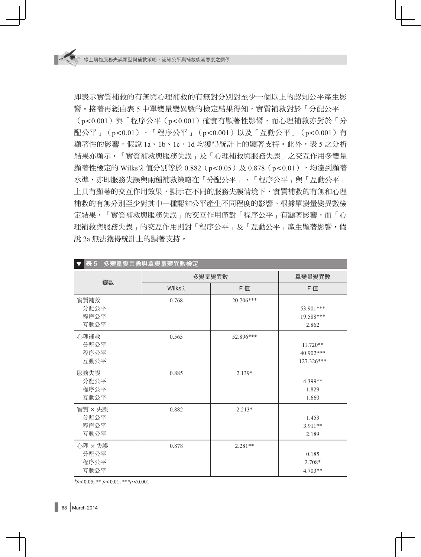即表示實質補救的有無與心理補救的有無對分別對至少一個以上的認知公平產生影 響。接著再經由表 5 中單變量變異數的檢定結果得知,實質補救對於「分配公平」  $(p < 0.001)$ 與「程序公平 $(p < 0.001)$ 確實有顯著性影響,而心理補救亦對於「分 配公平」(p<0.01)、「程序公平」(p<0.001)以及「互動公平」(p<0.001)有 顯著性的影響,假說 1a、1b、1c、1d 均獲得統計上的顯著支持。此外,表 5 之分析 結果亦顯示,「實質補救與服務失誤」及「心理補救與服務失誤」之交互作用多變量 顯著性檢定的 Wilks'λ 值分別等於 0.882 (p<0.05) 及 0.878 (p<0.01),均達到顯著 水準,亦即服務失誤與兩種補救策略在「分配公平」、「程序公平」與「互動公平」 上具有顯著的交互作用效果,顯示在不同的服務失誤情境下,實質補救的有無和心理 補救的有無分別至少對其中一種認知公平產生不同程度的影響。根據單變量變異數檢 定結果,「實質補救與服務失誤」的交互作用僅對「程序公平」有顯著影響,而「心 理補救與服務失誤」的交互作用則對「程序公平」及「互動公平」產生顯著影響,假 說 2a 無法獲得統計上的顯著支持。

| 表 5<br>多變量變異數與單變量變異數檢定          |                     |           |                                       |  |  |  |  |  |
|---------------------------------|---------------------|-----------|---------------------------------------|--|--|--|--|--|
|                                 | 多變量變異數              | 單變量變異數    |                                       |  |  |  |  |  |
| 變數                              | Wilks' <sub>2</sub> | F值        | F 值                                   |  |  |  |  |  |
| 實質補救<br>分配公平<br>程序公平            | 0.768               | 20.706*** | 53.901***<br>19.588***                |  |  |  |  |  |
| 互動公平                            |                     |           | 2.862                                 |  |  |  |  |  |
| 心理補救<br>分配公平<br>程序公平<br>互動公平    | 0.565               | 52.896*** | $11.720**$<br>40.902***<br>127.326*** |  |  |  |  |  |
| 服務失誤<br>分配公平<br>程序公平<br>互動公平    | 0.885               | $2.139*$  | 4.399**<br>1.829<br>1.660             |  |  |  |  |  |
| 實質 × 失誤<br>分配公平<br>程序公平<br>互動公平 | 0.882               | $2.213*$  | 1.453<br>$3.911**$<br>2.189           |  |  |  |  |  |
| 心理 × 失誤<br>分配公平<br>程序公平<br>互動公平 | 0.878               | $2.281**$ | 0.185<br>$2.708*$<br>$4.703**$        |  |  |  |  |  |

 $*_{p<0.05;}$  \*\*  $p<0.01;$  \*\*\* $p<0.001$ 

68 March 2014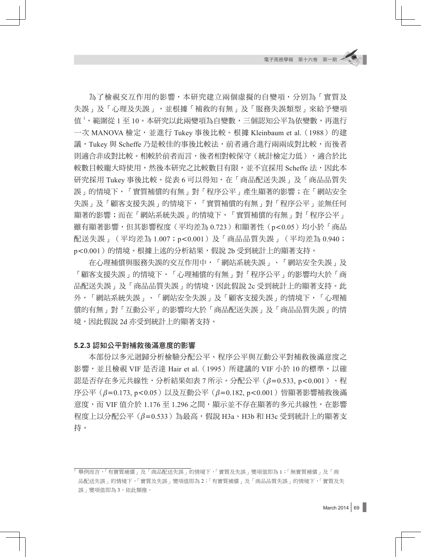為了檢視交互作用的影響,本研究建立兩個虛擬的自變項,分別為「實質及 失誤」及「心理及失誤」,並根據「補救的有無」及「服務失誤類型」來給予變項 值 <sup>1</sup> ,範圍從 1 至 10。本研究以此兩變項為自變數,三個認知公平為依變數,再進行 一次 MANOVA 檢定,並進行 Tukey 事後比較。根據 Kleinbaum et al. (1988)的建 議, Tukey 與 Scheffe 乃是較佳的事後比較法, 前者適合進行兩兩成對比較,而後者 則適合非成對比較。相較於前者而言,後者相對較保守(統計檢定力低),適合於比 較數目較龐大時使用,然後本研究之比較數目有限,並不宜採用 Scheffe 法,因此本 研究採用 Tukey 事後比較。從表 6 可以得知,在「商品配送失誤」及「商品品質失 誤」的情境下,「實質補償的有無」對「程序公平」產生顯著的影響;在「網站安全 失誤」及「顧客支援失誤」的情境下,「實質補償的有無」對「程序公平」並無任何 顯著的影響;而在「網站系統失誤」的情境下,「實質補償的有無」對「程序公平」 雖有顯著影響,但其影響程度(平均差為 0.723)和顯著性(p<0.05)均小於「商品 配送失誤」(平均差為 1.007;p<0.001)及「商品品質失誤」(平均差為 0.940; p<0.001 )的情境。根據上述的分析結果,假說 2b 受到統計上的顯著支持。

在心理補償與服務失誤的交互作用中,「網站系統失誤」、「網站安全失誤」及 「顧客支援失誤」的情境下,「心理補償的有無」對「程序公平」的影響均大於「商 品配送失誤 」及「商品品質失誤 」的情境,因此假說 2c 受到統計上的顯著支持。此 外,「網站系統失誤」、「網站安全失誤」及「顧客支援失誤」的情境下,「心理補 償的有無」對「互動公平」的影響均大於「商品配送失誤」及「商品品質失誤」的情 境,因此假說 2d 亦受到統計上的顯著支持。

#### **5.2.3** 認知公平對補救後滿意度的影響

本部份以多元迴歸分析檢驗分配公平、程序公平與互動公平對補救後滿意度之 影響,並且檢視 VIF 是否達 Hair et al. (1995)所建議的 VIF 小於 10 的標準,以確 認是否存在多元共線性,分析結果如表 7 所示。分配公平( $\beta$ =0.533, p<0.001)、程 序公平 (β=0.173, p<0.05)以及互動公平 (β=0.182, p<0.001)皆顯著影響補救後滿 意度,而 VIF 值介於 1.176 至 1.296 之間,顯示並不存在顯著的多元共線性,在影響 程度上以分配公平 $(\beta=0.533)$ 為最高,假說 Н3a、Н3b 和 Н3c 受到統計上的顯著支 持。

<sup>1</sup> 舉例而言,「有實質補償」及「商品配送失誤」的情境下,「實質及失誤」變項值即為 1;「無實質補償」及「商 品配送失誤」的情境下,「實質及失誤」變項值即為 2;「有實質補償」及「商品品質失誤」的情境下,「實質及失 誤」變項值即為 3, 依此類推。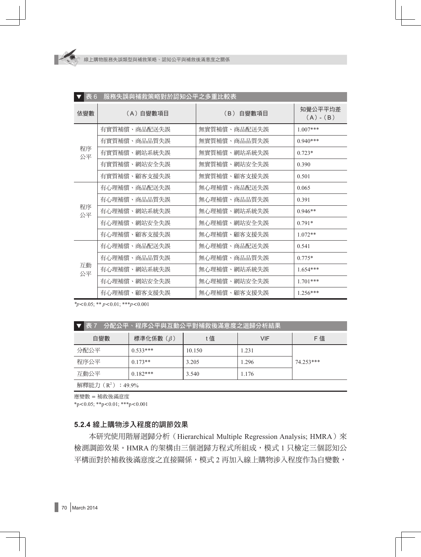| 表 6      | 服務失誤與補救策略對於認知公平之多重比較表 |              |                        |
|----------|-----------------------|--------------|------------------------|
| 依變數      | (A)自變數項目              | (B) 自變數項目    | 知覺公平平均差<br>$(A) - (B)$ |
|          | 有實質補償、商品配送失誤          | 無實質補償、商品配送失誤 | $1.007***$             |
|          | 有實質補償、商品品質失誤          | 無實質補償、商品品質失誤 | $0.940***$             |
| 程序<br>公平 | 有實質補償、網站系統失誤          | 無實質補償、網站系統失誤 | $0.723*$               |
|          | 有實質補償、網站安全失誤          | 無實質補償、網站安全失誤 | 0.390                  |
|          | 有實質補償、顧客支援失誤          | 無實質補償、顧客支援失誤 | 0.501                  |
|          | 有心理補償、商品配送失誤          | 無心理補償、商品配送失誤 | 0.065                  |
|          | 有心理補償、商品品質失誤          | 無心理補償、商品品質失誤 | 0.391                  |
| 程序<br>公平 | 有心理補償、網站系統失誤          | 無心理補償、網站系統失誤 | $0.946**$              |
|          | 有心理補償、網站安全失誤          | 無心理補償、網站安全失誤 | $0.791*$               |
|          | 有心理補償、顧客支援失誤          | 無心理補償、顧客支援失誤 | $1.072**$              |
|          | 有心理補償、商品配送失誤          | 無心理補償、商品配送失誤 | 0.541                  |
|          | 有心理補償、商品品質失誤          | 無心理補償、商品品質失誤 | $0.775*$               |
| 互動<br>公平 | 有心理補償、網站系統失誤          | 無心理補償、網站系統失誤 | $1.654***$             |
|          | 有心理補償、網站安全失誤          | 無心理補償、網站安全失誤 | $1.701***$             |
|          | 有心理補償、顧客支援失誤          | 無心理補償、顧客支援失誤 | $1.256***$             |

*\*p*0.05; \*\* *p*0.01; \*\*\**p*0.001

| 分配公平、程序公平與互動公平對補救後滿意度之迴歸分析結果<br>表 7 |             |        |       |           |  |  |  |  |  |
|-------------------------------------|-------------|--------|-------|-----------|--|--|--|--|--|
| 自變數                                 | 標準化係數 $(β)$ | t值     | VIF   | F 值       |  |  |  |  |  |
| 分配公平                                | $0.533***$  | 10.150 | 1.231 |           |  |  |  |  |  |
| 程序公平                                | $0.173**$   | 3.205  | 1.296 | 74.253*** |  |  |  |  |  |
| 互動公平                                | $0.182***$  | 3.540  | 1.176 |           |  |  |  |  |  |
| 解釋能力 $(R^2)$ : 49.9%                |             |        |       |           |  |  |  |  |  |

應變數 補救後滿意度

 $*p<0.05$ ;  $*p<0.01$ ;  $**p<0.001$ 

## **5.2.4** 線上購物涉入程度的調節效果

本研究使用階層迴歸分析 (Hierarchical Multiple Regression Analysis; HMRA) 來 檢測調節效果。HMRA 的架構由三個迴歸方程式所組成,模式 1 只檢定三個認知公 平構面對於補救後滿意度之直接關係,模式 2 再加入線上購物涉入程度作為自變數,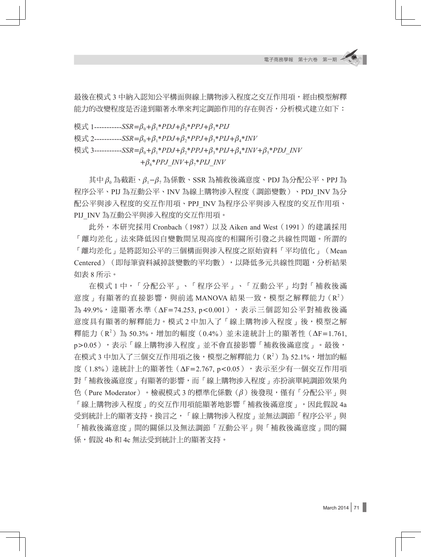最後在模式 3 中納入認知公平構面與線上購物涉入程度之交互作用項,經由模型解釋 能力的改變程度是否達到顯著水準來判定調節作用的存在與否,分析模式建立如下:

模式 1-----------*SSR*= $\beta_0 + \beta_1 * PDJ + \beta_2 * PPJ + \beta_3 * PIJ$ 

模式 2-----------*SSR*= $\beta_0 + \beta_1 * PDJ + \beta_2 * PJJ + \beta_3 * PIJ + \beta_4 * INV$ 

模式 3-----------*SSR*= $\beta_0 + \beta_1 * PDJ + \beta_2 * PPJ + \beta_3 * PIJ + \beta_4 * INV + \beta_5 * PDJ$  INV

 $+\beta_{6}$ <sup>\*</sup>*PPJ\_INV* + $\beta_{7}$ <sup>\*</sup>*PIJ\_INV* 

其中 $\beta_0$ 為截距、 $\beta_1-\beta_7$ 為係數、SSR 為補救後滿意度、PDJ 為分配公平、PPJ 為 程序公平、PIJ 為互動公平、INV 為線上購物涉入程度(調節變數)、PDJ\_INV 為分 配公平與涉入程度的交互作用項、PPJ\_INV 為程序公平與涉入程度的交互作用項、 PIJ INV 為互動公平與涉入程度的交互作用項。

此外,本研究採用 Cronbach (1987)以及 Aiken and West (1991) 的建議採用 「離均差化」法來降低因自變數間呈現高度的相關所引發之共線性問題。所謂的 「離均差化」是將認知公平的三個構面與涉入程度之原始資料「平均值化」(Mean Centered)(即每筆資料減掉該變數的平均數),以降低多元共線性問題,分析結果 如表 8 所示。

在模式 1 中,「分配公平」、「程序公平」、「互動公平」均對「補救後滿 意度」有顯著的直接影響,與前述 MANOVA 結果一致,模型之解釋能力  $(\mathrm{R}^2)$ 為 49.9%,達顯著水準 (ΔF=74.253, p<0.001), 表示三個認知公平對補救後滿 意度具有顯著的解釋能力。模式 2 中加入了「線上購物涉入程度」後,模型之解 釋能力 (R2) 為 50.3%,增加的幅度 (0.4%) 並未達統計上的顯著性 (ΔF=1.761, p>0.05),表示「線上購物涉入程度」並不會直接影響「補救後滿意度」。最後, 在模式 3 中加入了三個交互作用項之後,模型之解釋能力(R $^2$ )為 52.1%,增加的幅 度(1.8%)達統計上的顯著性( $\Delta$ F=2.767, p<0.05),表示至少有一個交互作用項 對「補救後滿意度」有顯著的影響,而「線上購物涉入程度」亦扮演單純調節效果角 色(Pure Moderator)。檢視模式 3 的標準化係數( $\beta$ )後發現,僅有「分配公平」與 「線上購物涉入程度」的交互作用項能顯著地影響「補救後滿意度」,因此假說 4a 受到統計上的顯著支持。換言之,「線上購物涉入程度」並無法調節「程序公平」與 「補救後滿意度」間的關係以及無法調節「互動公平」與「補救後滿意度」間的關 係,假說 4b 和 4c 無法受到統計上的顯著支持。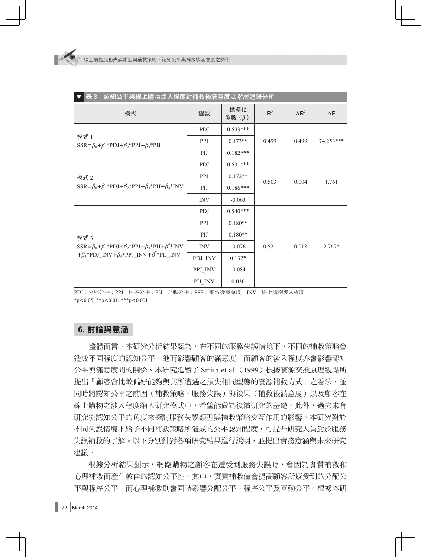| 表 8<br>認知公平與線上購物涉入程度對補救後滿意度之階層迴歸分析                                                           |            |                 |       |              |            |  |  |  |
|----------------------------------------------------------------------------------------------|------------|-----------------|-------|--------------|------------|--|--|--|
| 模式                                                                                           | 變數         | 標準化<br>係數 $(β)$ | $R^2$ | $\Delta R^2$ | $\Delta F$ |  |  |  |
|                                                                                              | <b>PDJ</b> | $0.533***$      |       | 0.499        | 74.253***  |  |  |  |
| 模式 1<br>$SSR = \beta_0 + \beta_1 * \text{PDJ} + \beta_2 * \text{PPJ} + \beta_3 * \text{PIJ}$ | PPJ        | $0.173**$       | 0.499 |              |            |  |  |  |
|                                                                                              | PIJ        | $0.182***$      |       |              |            |  |  |  |
|                                                                                              | <b>PDJ</b> | $0.531***$      |       | 0.004        | 1.761      |  |  |  |
| 模式 2                                                                                         | <b>PPJ</b> | $0.172**$       |       |              |            |  |  |  |
| $SSR = \beta_0 + \beta_1 * PDJ + \beta_2 * PPJ + \beta_3 * PIJ + \beta_4 * INV$              | PIJ        | $0.186***$      | 0.503 |              |            |  |  |  |
|                                                                                              | <b>INV</b> | $-0.063$        |       |              |            |  |  |  |
|                                                                                              | <b>PDJ</b> | $0.540***$      |       |              |            |  |  |  |
|                                                                                              | PPJ        | $0.180**$       |       |              |            |  |  |  |
| 模式 3                                                                                         | PIJ        | $0.180**$       |       |              |            |  |  |  |
| $SSR = \beta_0 + \beta_1 * PDJ + \beta_2 * PPJ + \beta_3 * PIJ + \beta^4 * INV$              | <b>INV</b> | $-0.076$        | 0.521 | 0.018        | $2.767*$   |  |  |  |
| $+\beta_{5}$ *PDJ_INV+ $\beta_{6}$ *PPJ_INV+ $\beta^{7}$ *PIJ_INV                            | PDJ_INV    | $0.132*$        |       |              |            |  |  |  |
|                                                                                              | PPJ_INV    | $-0.084$        |       |              |            |  |  |  |
|                                                                                              | PIJ INV    | 0.030           |       |              |            |  |  |  |

PDJ:分配公平;PPJ:程序公平;PIJ:互動公平;SSR:補救後滿意度;INV:線上購物涉入程度  $*p<0.05$ ;  $*p<0.01$ ;  $**p<0.001$ 

# **6.** 討論與意涵

整體而言,本研究分析結果認為,在不同的服務失誤情境下,不同的補救策略會 造成不同程度的認知公平,進而影響顧客的滿意度,而顧客的涉入程度亦會影響認知 公平與滿意度間的關係。本研究延續了 Smith et al.(1999)根據資源交換原理觀點所 提出「顧客會比較偏好能夠與其所遭遇之損失相同型熊的資源補救方式」之看法,並 同時將認知公平之前因(補救策略、服務失誤)與後果(補救後滿意度)以及顧客在 線上購物之涉入程度納入研究模式中,希望能做為後續研究的基礎。此外,過去未有 研究從認知公平的角度來探討服務失誤類型與補救策略交互作用的影響,本研究對於 不同失誤情境下給予不同補救策略所造成的公平認知程度,可提升研究人員對於服務 失誤補救的了解。以下分別針對各項研究結果進行說明,並提出實務意涵與未來研究 建議。

根據分析結果顯示,網路購物之顧客在遭受到服務失誤時,會因為實質補救和 心理補救而產生較佳的認知公平性。其中,實質補救僅會提高顧客所感受到的分配公 平與程序公平,而心理補救則會同時影響分配公平、程序公平及互動公平。根據本研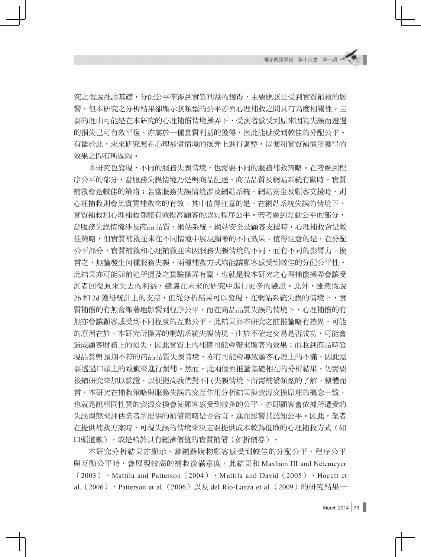究之假說推論基礎,分配公平牽涉到實質利益的獲得,主要應該是受到實質補救的影 響,但本研究之分析結果卻顯示該類型的公平亦與心理補救之間具有高度相關性。主 要的理由可能是在本研究的心理補償情境操弄下,受測者感受到原來因為失誤而遭遇 的損失已可有效平復,亦屬於一種實質利益的獲得,因此能感受到較佳的分配公平。 有鑑於此,未來研究應在心理補償情境的操弄上進行調整,以便和實質補償所獲得的 效果之間有所區隔。

本研究也發現,不同的服務失誤情境,也需要不同的服務補救策略。在考慮到程 序公平的部分,當服務失誤情境乃是與商品配送、商品品質及網站系統有關時,實質 補救會是較佳的策略;若當服務失誤情境涉及網站系統、網站安全及顧客支援時,則 心理補救則會比實質補救來的有效。其中值得注意的是,在網站系統失誤的情境下, 實質補救和心理補救都能有效提高顧客的認知程序公平。若考慮到互動公平的部分, 當服務失誤情境涉及商品品質、網站系統、網站安全及顧客支援時,心理補救會是較 佳策略,但實質補救並未在不同情境中展現顯著的不同效果。值得注意的是,在分配 公平部分,實質補救和心理補救並未因服務失誤情境的不同,而有不同的影響力。換 言之,無論發生何種服務失誤,兩種補救方式均能讓顧客感受到較佳的分配公平性。 此結果亦可能與前述所提及之實驗操弄有關,也就是說本研究之心理補償操弄會讓受 測者回復原來失去的利益,建議在未來的研究中進行更多的驗證。此外,雖然假說 2b 和 2d 獲得統計上的支持,但從分析結果可以發現,在網站系統失誤的情境下,實 質補償的有無會顯著地影響到程序公平,而在商品品質失誤的情境下,心理補償的有 無亦會讓顧客感受到不同程度的互動公平,此結果與本研究之前推論略有差異。可能 的原因在於,本研究所操弄的網站系統失誤情境,由於不確定交易是否成功,可能會 造成顧客財務上的損失,因此實質上的補償可能會帶來顯著的效果;而收到商品時發 現品質與預期不符的商品品質失誤情境,亦有可能會導致顧客心理上的不滿,因此需 要透過口頭上的致歉來進行彌補。然而,此兩個與推論基礎相左的分析結果,仍需要 後續研究來加以驗證,以便提高我們對不同失誤情境下所需補償類型的了解。整體而 言,本研究在補救策略與服務失誤的交互作用分析結果與資源交換原理的概念一致, 也就是說相同性質的資源交換會使顧客感受到較多的公平,亦即顧客會依據所遭受的 失誤型態來評估業者所提供的補償策略是否合宜,進而影響其認知公平。因此,業者 在提供補救方案時,可視失誤的情境來決定要提供成本較為低廉的心理補救方式(如 口頭道歉),或是給於具有經濟價值的實質補償(如折價券)。

本研究分析結果亦顯示,當網路購物顧客感受到較佳的分配公平、程序公平 與互動公平時,會展現較高的補救後滿意度,此結果和 Maxham III and Netemeyer  $(2003)$  • Mattila and Patterson  $(2004)$  • Mattila and David  $(2005)$  • Hocutt et al.(2006)、Patterson et al.(2006)以及 del Río-Lanza et al.(2009)的研究結果一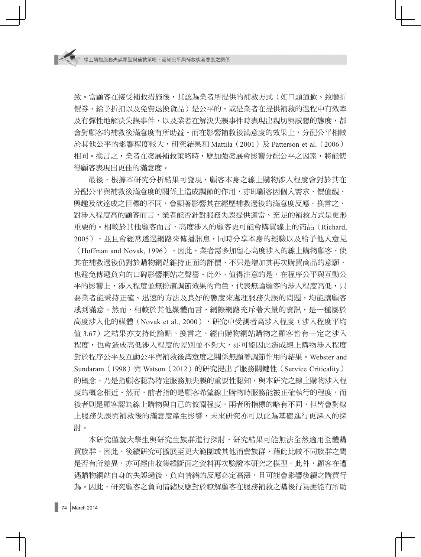致。當顧客在接受補救措施後,其認為業者所提供的補救方式(如口頭道歉、致贈折 價券、給予折扣以及免費退換貨品)是公平的,或是業者在提供補救的過程中有效率 及有彈性地解決失誤事件,以及業者在解決失誤事件時表現出親切與誠懇的態度,都 會對顧客的補救後滿意度有所助益。而在影響補救後滿意度的效果上,分配公平相較 於其他公平的影響程度較大,研究結果和 Mattila(2001)及 Patterson et al.(2006) 相同。換言之,業者在發展補救策略時,應加強發展會影響分配公平之因素,將能使 得顧客表現出更佳的滿意度。

最後,根據本研究分析結果可發現,顧客本身之線上購物涉入程度會對於其在 分配公平與補救後滿意度的關係上造成調節的作用,亦即顧客因個人需求、價值觀、 興趣及欲達成之目標的不同,會顯著影響其在經歷補救過後的滿意度反應。換言之, 對涉入程度高的顧客而言,業者能否針對服務失誤提供適當、充足的補救方式是更形 重要的。相較於其他顧客而言,高度涉入的顧客更可能會購買線上的商品(Richard, 2005),並且會經常透過網路來傳播訊息,同時分享本身的經驗以及給予他人意見 (Hoffman and Novak, 1996)。因此,業者需多加留心高度涉入的線上購物顧客,使 其在補救過後仍對於購物網站維持正面的評價,不只是增加其再次購買商品的意願, 也避免傳遞負向的口碑影響網站之聲譽。此外,值得注意的是,在程序公平與互動公 平的影響上,涉入程度並無扮演調節效果的角色,代表無論顧客的涉入程度高低,只 要業者能秉持正確、迅速的方法及良好的態度來處理服務失誤的問題,均能讓顧客 感到滿意。然而,相較於其他媒體而言,網際網路充斥著大量的資訊,是一種屬於 高度涉入化的媒體(Novak et al., 2000),研究中受測者高涉入程度(涉入程度平均 值 3.67)之結果亦支持此論點。換言之,經由購物網站購物之顧客皆有一定之涉入 程度,也會造成高低涉入程度的差別並不夠大,亦可能因此造成線上購物涉入程度 對於程序公平及互動公平與補救後滿意度之關係無顯著調節作用的結果。Webster and Sundaram (1998) 與 Watson (2012) 的研究提出了服務關鍵性 (Service Criticality) 的概念,乃是指顧客認為特定服務無失誤的重要性認知,與本研究之線上購物涉入程 度的概念相近。然而,前者指的是顧客希望線上購物時服務能被正確執行的程度,而 後者則是顧客認為線上購物與自己的攸關程度,兩者所指標的略有不同,但皆會對線 上服務失誤與補救後的滿意度產生影響,未來研究亦可以此為基礎進行更深入的探 討。

本研究僅就大學生與研究生族群進行探討,研究結果可能無法全然適用全體購 買族群。因此,後續研究可擴展至更大範圍或其他消費族群,藉此比較不同族群之間 是否有所差異,亦可經由收集縱斷面之資料再次驗證本研究之模型。此外,顧客在遭 遇購物網站自身的失誤過後,負向情緒的反應必定高漲,且可能會影響後續之購買行 為。因此,研究顧客之負向情緒反應對於瞭解顧客在服務補救之購後行為應能有所助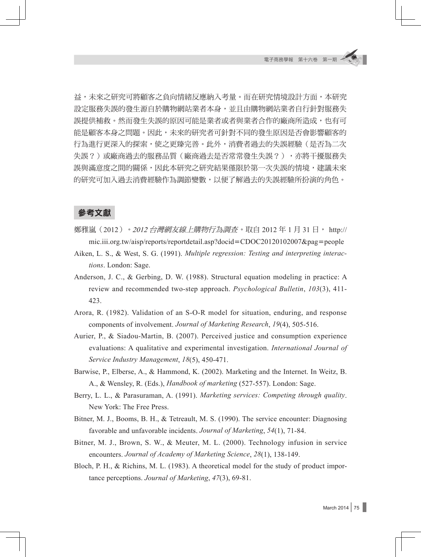益,未來之研究可將顧客之負向情緒反應納入考量。而在研究情境設計方面,本研究 設定服務失誤的發生源自於購物網站業者本身,並且由購物網站業者自行針對服務失 誤提供補救。然而發生失誤的原因可能是業者或者與業者合作的廠商所造成,也有可 能是顧客本身之問題。因此,未來的研究者可針對不同的發生原因是否會影響顧客的 行為進行更深入的探索,使之更臻完善。此外,消費者過去的失誤經驗(是否為二次 失誤?)或廠商過去的服務品質(廠商過去是否常常發生失誤?),亦將干擾服務失 誤與滿意度之間的關係,因此本研究之研究結果僅限於第一次失誤的情境,建議未來 的研究可加入過去消費經驗作為調節變數,以便了解過去的失誤經驗所扮演的角色。

### 參考文獻

- 鄭雅嵐(2012)。2012 台灣網友線上購物行為調査。取自 2012 年 1 月 31 日, http:// mic.iii.org.tw/aisp/reports/reportdetail.asp?docid=CDOC20120102007&pag=people
- Aiken, L. S., & West, S. G. (1991). *Multiple regression: Testing and interpreting interactions*. London: Sage.
- Anderson, J. C., & Gerbing, D. W. (1988). Structural equation modeling in practice: A review and recommended two-step approach. *Psychological Bulletin*, *103*(3), 411- 423.
- Arora, R. (1982). Validation of an S-O-R model for situation, enduring, and response components of involvement. *Journal of Marketing Research*, *19*(4), 505-516.
- Aurier, P., & Siadou-Martin, B. (2007). Perceived justice and consumption experience evaluations: A qualitative and experimental investigation. *International Journal of Service Industry Management*, *18*(5), 450-471.
- Barwise, P., Elberse, A., & Hammond, K. (2002). Marketing and the Internet. In Weitz, B. A., & Wensley, R. (Eds.), *Handbook of marketing* (527-557). London: Sage.
- Berry, L. L., & Parasuraman, A. (1991). *Marketing services: Competing through quality*. New York: The Free Press.
- Bitner, M. J., Booms, B. H., & Tetreault, M. S. (1990). The service encounter: Diagnosing favorable and unfavorable incidents. *Journal of Marketing*, *54*(1), 71-84.
- Bitner, M. J., Brown, S. W., & Meuter, M. L. (2000). Technology infusion in service encounters. *Journal of Academy of Marketing Science*, *28*(1), 138-149.
- Bloch, P. H., & Richins, M. L. (1983). A theoretical model for the study of product importance perceptions. *Journal of Marketing*, *47*(3), 69-81.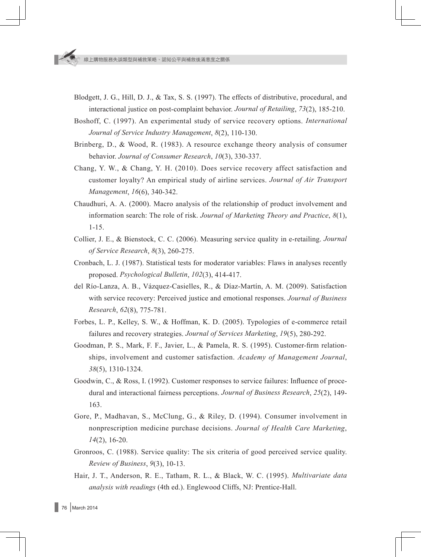- Blodgett, J. G., Hill, D. J., & Tax, S. S. (1997). The effects of distributive, procedural, and interactional justice on post-complaint behavior. *Journal of Retailing*, *73*(2), 185-210.
- Boshoff, C. (1997). An experimental study of service recovery options. *International Journal of Service Industry Management*, *8*(2), 110-130.
- Brinberg, D., & Wood, R. (1983). A resource exchange theory analysis of consumer behavior. *Journal of Consumer Research*, *10*(3), 330-337.
- Chang, Y. W., & Chang, Y. H. (2010). Does service recovery affect satisfaction and customer loyalty? An empirical study of airline services. *Journal of Air Transport Management*, *16*(6), 340-342.
- Chaudhuri, A. A. (2000). Macro analysis of the relationship of product involvement and information search: The role of risk. *Journal of Marketing Theory and Practice*, *8*(1), 1-15.
- Collier, J. E., & Bienstock, C. C. (2006). Measuring service quality in e-retailing. *Journal of Service Research*, *8*(3), 260-275.
- Cronbach, L. J. (1987). Statistical tests for moderator variables: Flaws in analyses recently proposed. *Psychological Bulletin*, *102*(3), 414-417.
- del Río-Lanza, A. B., Vázquez-Casielles, R., & Díaz-Martín, A. M. (2009). Satisfaction with service recovery: Perceived justice and emotional responses. *Journal of Business Research*, *62*(8), 775-781.
- Forbes, L. P., Kelley, S. W., & Hoffman, K. D. (2005). Typologies of e-commerce retail failures and recovery strategies. *Journal of Services Marketing*, *19*(5), 280-292.
- Goodman, P. S., Mark, F. F., Javier, L., & Pamela, R. S. (1995). Customer-firm relationships, involvement and customer satisfaction. *Academy of Management Journal*, *38*(5), 1310-1324.
- Goodwin, C., & Ross, I. (1992). Customer responses to service failures: Influence of procedural and interactional fairness perceptions. *Journal of Business Research*, *25*(2), 149- 163.
- Gore, P., Madhavan, S., McClung, G., & Riley, D. (1994). Consumer involvement in nonprescription medicine purchase decisions. *Journal of Health Care Marketing*, *14*(2), 16-20.
- Gronroos, C. (1988). Service quality: The six criteria of good perceived service quality. *Review of Business*, *9*(3), 10-13.
- Hair, J. T., Anderson, R. E., Tatham, R. L., & Black, W. C. (1995). *Multivariate data analysis with readings* (4th ed.). Englewood Cliffs, NJ: Prentice-Hall.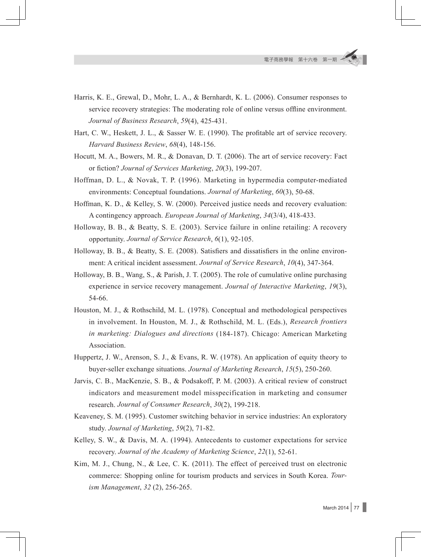- Harris, K. E., Grewal, D., Mohr, L. A., & Bernhardt, K. L. (2006). Consumer responses to service recovery strategies: The moderating role of online versus offline environment. *Journal of Business Research*, *59*(4), 425-431.
- Hart, C. W., Heskett, J. L., & Sasser W. E. (1990). The profitable art of service recovery. *Harvard Business Review*, *68*(4), 148-156.
- Hocutt, M. A., Bowers, M. R., & Donavan, D. T. (2006). The art of service recovery: Fact or fiction? *Journal of Services Marketing*, *20*(3), 199-207.
- Hoffman, D. L., & Novak, T. P. (1996). Marketing in hypermedia computer-mediated environments: Conceptual foundations. *Journal of Marketing*, *60*(3), 50-68.
- Hoffman, K. D., & Kelley, S. W. (2000). Perceived justice needs and recovery evaluation: A contingency approach. *European Journal of Marketing*, *34*(3/4), 418-433.
- Holloway, B. B., & Beatty, S. E. (2003). Service failure in online retailing: A recovery opportunity. *Journal of Service Research*, *6*(1), 92-105.
- Holloway, B. B., & Beatty, S. E. (2008). Satisfiers and dissatisfiers in the online environment: A critical incident assessment. *Journal of Service Research*, *10*(4), 347-364.
- Holloway, B. B., Wang, S., & Parish, J. T. (2005). The role of cumulative online purchasing experience in service recovery management. *Journal of Interactive Marketing*, *19*(3), 54-66.
- Houston, M. J., & Rothschild, M. L. (1978). Conceptual and methodological perspectives in involvement. In Houston, M. J., & Rothschild, M. L. (Eds.), *Research frontiers in marketing: Dialogues and directions* (184-187). Chicago: American Marketing Association.
- Huppertz, J. W., Arenson, S. J., & Evans, R. W. (1978). An application of equity theory to buyer-seller exchange situations. *Journal of Marketing Research*, *15*(5), 250-260.
- Jarvis, C. B., MacKenzie, S. B., & Podsakoff, P. M. (2003). A critical review of construct indicators and measurement model misspecification in marketing and consumer research. *Journal of Consumer Research*, *30*(2), 199-218.
- Keaveney, S. M. (1995). Customer switching behavior in service industries: An exploratory study. *Journal of Marketing*, *59*(2), 71-82.
- Kelley, S. W., & Davis, M. A. (1994). Antecedents to customer expectations for service recovery. *Journal of the Academy of Marketing Science*, *22*(1), 52-61.
- Kim, M. J., Chung, N., & Lee, C. K. (2011). The effect of perceived trust on electronic commerce: Shopping online for tourism products and services in South Korea. *Tourism Management*, *32* (2), 256-265.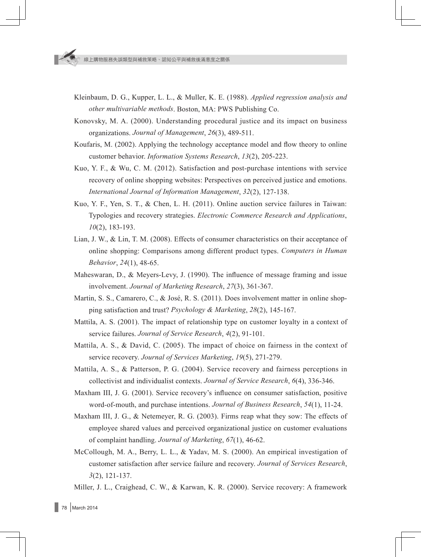- Kleinbaum, D. G., Kupper, L. L., & Muller, K. E. (1988). *Applied regression analysis and other multivariable methods*. Boston, MA: PWS Publishing Co.
- Konovsky, M. A. (2000). Understanding procedural justice and its impact on business organizations. *Journal of Management*, *26*(3), 489-511.
- Koufaris, M. (2002). Applying the technology acceptance model and flow theory to online customer behavior. *Information Systems Research*, *13*(2), 205-223.
- Kuo, Y. F., & Wu, C. M. (2012). Satisfaction and post-purchase intentions with service recovery of online shopping websites: Perspectives on perceived justice and emotions. *International Journal of Information Management*, *32*(2), 127-138.
- Kuo, Y. F., Yen, S. T., & Chen, L. H. (2011). Online auction service failures in Taiwan: Typologies and recovery strategies. *Electronic Commerce Research and Applications*, *10*(2), 183-193.
- Lian, J. W., & Lin, T. M. (2008). Effects of consumer characteristics on their acceptance of online shopping: Comparisons among different product types. *Computers in Human Behavior*, *24*(1), 48-65.
- Maheswaran, D., & Meyers-Levy, J. (1990). The influence of message framing and issue involvement. *Journal of Marketing Research*, *27*(3), 361-367.
- Martin, S. S., Camarero, C., & José, R. S. (2011). Does involvement matter in online shopping satisfaction and trust? *Psychology & Marketing*, *28*(2), 145-167.
- Mattila, A. S. (2001). The impact of relationship type on customer loyalty in a context of service failures. *Journal of Service Research*, *4*(2), 91-101.
- Mattila, A. S., & David, C. (2005). The impact of choice on fairness in the context of service recovery. *Journal of Services Marketing*, *19*(5), 271-279.
- Mattila, A. S., & Patterson, P. G. (2004). Service recovery and fairness perceptions in collectivist and individualist contexts. *Journal of Service Research*, *6*(4), 336-346.
- Maxham III, J. G. (2001). Service recovery's influence on consumer satisfaction, positive word-of-mouth, and purchase intentions. *Journal of Business Research*, *54*(1), 11-24.
- Maxham III, J. G., & Netemeyer, R. G. (2003). Firms reap what they sow: The effects of employee shared values and perceived organizational justice on customer evaluations of complaint handling. *Journal of Marketing*, *67*(1), 46-62.
- McCollough, M. A., Berry, L. L., & Yadav, M. S. (2000). An empirical investigation of customer satisfaction after service failure and recovery. *Journal of Services Research*, *3*(2), 121-137.
- Miller, J. L., Craighead, C. W., & Karwan, K. R. (2000). Service recovery: A framework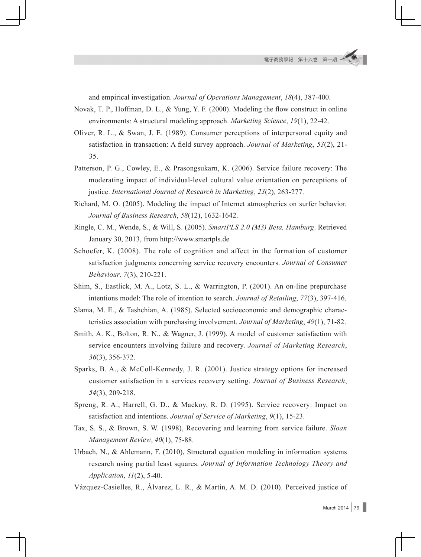and empirical investigation. *Journal of Operations Management*, *18*(4), 387-400.

Novak, T. P., Hoffman, D. L., & Yung, Y. F. (2000). Modeling the flow construct in online environments: A structural modeling approach. *Marketing Science*, *19*(1), 22-42.

- Oliver, R. L., & Swan, J. E. (1989). Consumer perceptions of interpersonal equity and satisfaction in transaction: A field survey approach. *Journal of Marketing*, *53*(2), 21- 35.
- Patterson, P. G., Cowley, E., & Prasongsukarn, K. (2006). Service failure recovery: The moderating impact of individual-level cultural value orientation on perceptions of justice. *International Journal of Research in Marketing*, *23*(2), 263-277.
- Richard, M. O. (2005). Modeling the impact of Internet atmospherics on surfer behavior. *Journal of Business Research*, *58*(12), 1632-1642.
- Ringle, C. M., Wende, S., & Will, S. (2005). *SmartPLS 2.0 (M3) Beta, Hamburg*. Retrieved January 30, 2013, from http://www.smartpls.de
- Schoefer, K. (2008). The role of cognition and affect in the formation of customer satisfaction judgments concerning service recovery encounters. *Journal of Consumer Behaviour*, *7*(3), 210-221.
- Shim, S., Eastlick, M. A., Lotz, S. L., & Warrington, P. (2001). An on-line prepurchase intentions model: The role of intention to search. *Journal of Retailing*, *77*(3), 397-416.
- Slama, M. E., & Tashchian, A. (1985). Selected socioeconomic and demographic characteristics association with purchasing involvement. *Journal of Marketing*, *49*(1), 71-82.
- Smith, A. K., Bolton, R. N., & Wagner, J. (1999). A model of customer satisfaction with service encounters involving failure and recovery. *Journal of Marketing Research*, *36*(3), 356-372.
- Sparks, B. A., & McColl-Kennedy, J. R. (2001). Justice strategy options for increased customer satisfaction in a services recovery setting. *Journal of Business Research*, *54*(3), 209-218.
- Spreng, R. A., Harrell, G. D., & Mackoy, R. D. (1995). Service recovery: Impact on satisfaction and intentions. *Journal of Service of Marketing*, *9*(1), 15-23.
- Tax, S. S., & Brown, S. W. (1998), Recovering and learning from service failure. *Sloan Management Review*, *40*(1), 75-88.
- Urbach, N., & Ahlemann, F. (2010), Structural equation modeling in information systems research using partial least squares. *Journal of Information Technology Theory and Application*, *11*(2), 5-40.
- Vázquez-Casielles, R., Álvarez, L. R., & Martín, A. M. D. (2010). Perceived justice of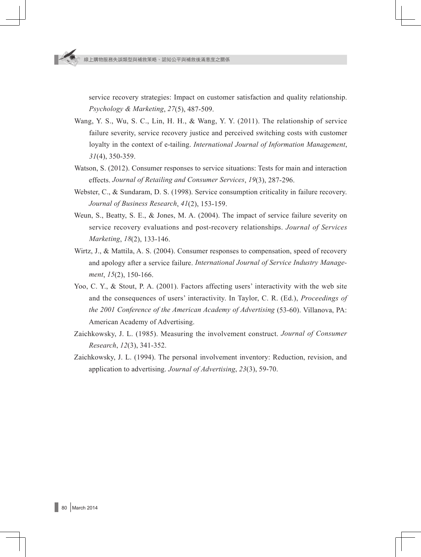service recovery strategies: Impact on customer satisfaction and quality relationship. *Psychology & Marketing*, *27*(5), 487-509.

- Wang, Y. S., Wu, S. C., Lin, H. H., & Wang, Y. Y. (2011). The relationship of service failure severity, service recovery justice and perceived switching costs with customer loyalty in the context of e-tailing. *International Journal of Information Management*, *31*(4), 350-359.
- Watson, S. (2012). Consumer responses to service situations: Tests for main and interaction effects. *Journal of Retailing and Consumer Services*, *19*(3), 287-296.
- Webster, C., & Sundaram, D. S. (1998). Service consumption criticality in failure recovery. *Journal of Business Research*, *41*(2), 153-159.
- Weun, S., Beatty, S. E., & Jones, M. A. (2004). The impact of service failure severity on service recovery evaluations and post-recovery relationships. *Journal of Services Marketing*, *18*(2), 133-146.
- Wirtz, J., & Mattila, A. S. (2004). Consumer responses to compensation, speed of recovery and apology after a service failure. *International Journal of Service Industry Management*, *15*(2), 150-166.
- Yoo, C. Y., & Stout, P. A. (2001). Factors affecting users' interactivity with the web site and the consequences of users' interactivity. In Taylor, C. R. (Ed.), *Proceedings of the 2001 Conference of the American Academy of Advertising* (53-60). Villanova, PA: American Academy of Advertising.
- Zaichkowsky, J. L. (1985). Measuring the involvement construct. *Journal of Consumer Research*, *12*(3), 341-352.
- Zaichkowsky, J. L. (1994). The personal involvement inventory: Reduction, revision, and application to advertising. *Journal of Advertising*, *23*(3), 59-70.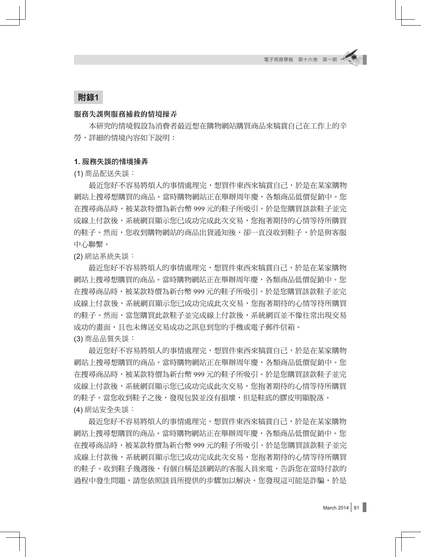# 附錄**1**

#### 服務失誤與服務補救的情境操弄

本研究的情境假設為消費者最近想在購物網站購買商品來犒賞自己在工作上的辛 勞,詳細的情境內容如下說明:

#### **1.** 服務失誤的情境操弄

(1) 商品配送失誤:

最近您好不容易將煩人的事情處理完,想買件東西來犒賞自己,於是在某家購物 網站上搜尋想購買的商品。當時購物網站正在舉辦周年慶,各類商品低價促銷中。您 在搜尋商品時,被某款特價為新台幣 999 元的鞋子所吸引。於是您購買該款鞋子並完 成線上付款後,系統網頁顯示您已成功完成此次交易,您抱著期待的心情等待所購買 的鞋子。然而,您收到購物網站的商品出貨通知後,卻一直沒收到鞋子,於是與客服 中心聯繫。

(2) 網站系統失誤:

最近您好不容易將煩人的事情處理完,想買件東西來犒賞自己,於是在某家購物 網站上搜尋想購買的商品。當時購物網站正在舉辦周年慶,各類商品低價促銷中。您 在搜尋商品時,被某款特價為新台幣 999 元的鞋子所吸引。於是您購買該款鞋子並完 成線上付款後,系統網頁顯示您已成功完成此次交易,您抱著期待的心情等待所購買 的鞋子。然而,當您購買此款鞋子並完成線上付款後,系統網頁並不像往常出現交易 成功的書面,且也未傳送交易成功之訊息到您的手機或電子郵件信箱。

(3) 商品品質失誤:

最近您好不容易將煩人的事情處理完,想買件東西來犒賞自己,於是在某家購物 網站上搜尋想購買的商品。當時購物網站正在舉辦周年慶,各類商品低價促銷中。您 在搜尋商品時,被某款特價為新台幣 999 元的鞋子所吸引。於是您購買該款鞋子並完 成線上付款後,系統網頁顯示您已成功完成此次交易,您抱著期待的心情等待所購買 的鞋子。當您收到鞋子之後,發現包裝並沒有損壞,但是鞋底的膠皮明顯脫落。 (4) 網站安全失誤:

最近您好不容易將煩人的事情處理完,想買件東西來犒賞自己,於是在某家購物 網站上搜尋想購買的商品。當時購物網站正在舉辦周年慶,各類商品低價促銷中。您 在搜尋商品時,被某款特價為新台幣 999 元的鞋子所吸引。於是您購買該款鞋子並完 成線上付款後,系統網頁顯示您已成功完成此次交易,您抱著期待的心情等待所購買 的鞋子。收到鞋子幾週後,有個自稱是該網站的客服人員來電,告訴您在當時付款的 過程中發生問題,請您依照該員所提供的步驟加以解決。您發現這可能是詐騙,於是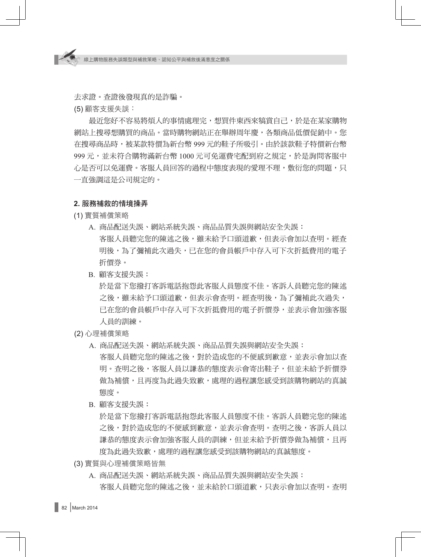去求證。查證後發現真的是詐騙。

(5) 顧客支援失誤:

最近您好不容易將煩人的事情處理完,想買件東西來犒賞自己,於是在某家購物 網站上搜尋想購買的商品。當時購物網站正在舉辦周年慶,各類商品低價促銷中。您 在搜尋商品時,被某款特價為新台幣 999 元的鞋子所吸引。由於該款鞋子特價新台幣 999 元,並未符合購物滿新台幣 1000 元可免運費宅配到府之規定,於是詢問客服中 心是否可以免運費。客服人員回答的過程中態度表現的愛理不理,敷衍您的問題,只 一直強調這是公司規定的。

#### **2.** 服務補救的情境操弄

- (1) 實質補償策略
	- A. 商品配送失誤、網站系統失誤、商品品質失誤與網站安全失誤: 客服人員聽完您的陳述之後,雖未給予口頭道歉,但表示會加以查明。經查 明後,為了彌補此次過失,已在您的會員帳戶中存入可下次折抵費用的電子 折價券。
	- B. 顧客支援失誤:

於是當下您撥打客訴電話抱怨此客服人員態度不佳。客訴人員聽完您的陳述 之後,雖未給予口頭道歉,但表示會查明。經查明後,為了彌補此次過失, 已在您的會員帳戶中存入可下次折抵費用的電子折價券,並表示會加強客服 人員的訓練。

- (2) 心理補償策略
	- A. 商品配送失誤、網站系統失誤、商品品質失誤與網站安全失誤: 客服人員聽完您的陳述之後,對於造成您的不便感到歉意,並表示會加以杳 明。查明之後,客服人員以謙恭的態度表示會寄出鞋子,但並未給予折價券 做為補償,且再度為此過失致歉,處理的過程讓您感受到該購物網站的真誠 態度。
	- B. 顧客支援失誤:

於是當下您撥打客訴電話抱怨此客服人員態度不佳。客訴人員聽完您的陳述 之後,對於造成您的不便感到歉意,並表示會查明。查明之後,客訴人員以 謙恭的態度表示會加強客服人員的訓練,但並未給予折價券做為補償,日再 度為此過失致歉,處理的過程讓您感受到該購物網站的真誠態度。

- (3) 實質與心理補償策略皆無
	- A. 商品配送失誤、網站系統失誤、商品品質失誤與網站安全失誤: 客服人員聽完您的陳述之後,並未給於口頭道歉,只表示會加以查明。查明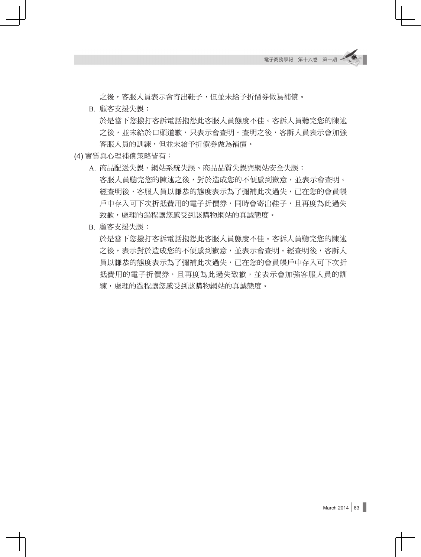之後,客服人員表示會寄出鞋子,但並未給予折價券做為補償。

- B. 顧客支援失誤: 於是當下您撥打客訴電話抱怨此客服人員態度不佳。客訴人員聽完您的陳述 之後,並未給於口頭道歉,只表示會查明。查明之後,客訴人員表示會加強 客服人員的訓練,但並未給予折價券做為補償。
- (4) 實質與心理補償策略皆有:
	- A. 商品配送失誤、網站系統失誤、商品品質失誤與網站安全失誤: 客服人員聽完您的陳述之後,對於造成您的不便感到歉意,並表示會查明。 經查明後,客服人員以謙恭的態度表示為了彌補此次過失,已在您的會員帳 戶中存入可下次折抵費用的電子折價券,同時會寄出鞋子,且再度為此過失 致歉,處理的過程讓您感受到該購物網站的真誠態度。
	- B. 顧客支援失誤:

於是當下您撥打客訴電話抱怨此客服人員態度不佳。客訴人員聽完您的陳述 之後,表示對於造成您的不便感到歉意,並表示會查明。經查明後,客訴人 員以謙恭的態度表示為了彌補此次過失,已在您的會員帳戶中存入可下次折 抵費用的電子折價券,且再度為此過失致歉,並表示會加強客服人員的訓 練,處理的過程讓您感受到該購物網站的真誠態度。